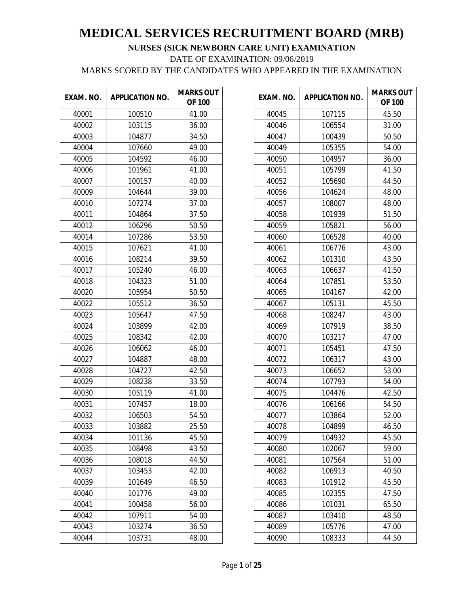| EXAM. NO. | <b>APPLICATION NO.</b> | <b>MARKS OUT</b><br><b>OF 100</b> |
|-----------|------------------------|-----------------------------------|
| 40001     | 100510                 | 41.00                             |
| 40002     | 103115                 | 36.00                             |
| 40003     | 104877                 | 34.50                             |
| 40004     | 107660                 | 49.00                             |
| 40005     | 104592                 | 46.00                             |
| 40006     | 101961                 | 41.00                             |
| 40007     | 100157                 | 40.00                             |
| 40009     | 104644                 | 39.00                             |
| 40010     | 107274                 | 37.00                             |
| 40011     | 104864                 | 37.50                             |
| 40012     | 106296                 | 50.50                             |
| 40014     | 107286                 | 53.50                             |
| 40015     | 107621                 | 41.00                             |
| 40016     | 108214                 | 39.50                             |
| 40017     | 105240                 | 46.00                             |
| 40018     | 104323                 | 51.00                             |
| 40020     | 105954                 | 50.50                             |
| 40022     | 105512                 | 36.50                             |
| 40023     | 105647                 | 47.50                             |
| 40024     | 103899                 | 42.00                             |
| 40025     | 108342                 | 42.00                             |
| 40026     | 106062                 | 46.00                             |
| 40027     | 104887                 | 48.00                             |
| 40028     | 104727                 | 42.50                             |
| 40029     | 108238                 | 33.50                             |
| 40030     | 105119                 | 41.00                             |
| 40031     | 107457                 | 18.00                             |
| 40032     | 106503                 | 54.50                             |
| 40033     | 103882                 | 25.50                             |
| 40034     | 101136                 | 45.50                             |
| 40035     | 108498                 | 43.50                             |
| 40036     | 108018                 | 44.50                             |
| 40037     | 103453                 | 42.00                             |
| 40039     | 101649                 | 46.50                             |
| 40040     | 101776                 | 49.00                             |
| 40041     | 100458                 | 56.00                             |
| 40042     | 107911                 | 54.00                             |
| 40043     | 103274                 | 36.50                             |
| 40044     | 103731                 | 48.00                             |

| EXAM. NO. | <b>APPLICATION NO.</b> | <b>MARKS OUT</b><br><b>OF 100</b> |
|-----------|------------------------|-----------------------------------|
| 40045     | 107115                 | 45.50                             |
| 40046     | 106554                 | 31.00                             |
| 40047     | 100439                 | 50.50                             |
| 40049     | 105355                 | 54.00                             |
| 40050     | 104957                 | 36.00                             |
| 40051     | 105799                 | 41.50                             |
| 40052     | 105690                 | 44.50                             |
| 40056     | 104624                 | 48.00                             |
| 40057     | 108007                 | 48.00                             |
| 40058     | 101939                 | 51.50                             |
| 40059     | 105821                 | 56.00                             |
| 40060     | 106528                 | 40.00                             |
| 40061     | 106776                 | 43.00                             |
| 40062     | 101310                 | 43.50                             |
| 40063     | 106637                 | 41.50                             |
| 40064     | 107851                 | 53.50                             |
| 40065     | 104167                 | 42.00                             |
| 40067     | 105131                 | 45.50                             |
| 40068     | 108247                 | 43.00                             |
| 40069     | 107919                 | 38.50                             |
| 40070     | 103217                 | 47.00                             |
| 40071     | 105451                 | 47.50                             |
| 40072     | 106317                 | 43.00                             |
| 40073     | 106652                 | 53.00                             |
| 40074     | 107793                 | 54.00                             |
| 40075     | 104476                 | 42.50                             |
| 40076     | 106166                 | 54.50                             |
| 40077     | 103864                 | 52.00                             |
| 40078     | 104899                 | 46.50                             |
| 40079     | 104932                 | 45.50                             |
| 40080     | 102067                 | 59.00                             |
| 40081     | 107564                 | 51.00                             |
| 40082     | 106913                 | 40.50                             |
| 40083     | 101912                 | 45.50                             |
| 40085     | 102355                 | 47.50                             |
| 40086     | 101031                 | 65.50                             |
| 40087     | 103410                 | 48.50                             |
| 40089     | 105776                 | 47.00                             |
| 40090     | 108333                 | 44.50                             |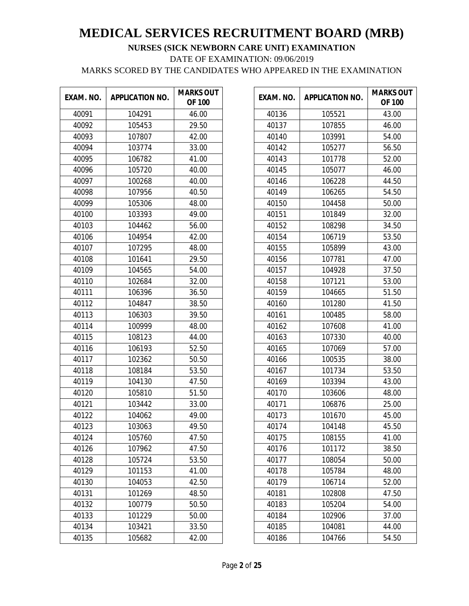| EXAM. NO. | <b>APPLICATION NO.</b> | <b>MARKS OUT</b><br><b>OF 100</b> |
|-----------|------------------------|-----------------------------------|
| 40091     | 104291                 | 46.00                             |
| 40092     | 105453                 | 29.50                             |
| 40093     | 107807                 | 42.00                             |
| 40094     | 103774                 | 33.00                             |
| 40095     | 106782                 | 41.00                             |
| 40096     | 105720                 | 40.00                             |
| 40097     | 100268                 | 40.00                             |
| 40098     | 107956                 | 40.50                             |
| 40099     | 105306                 | 48.00                             |
| 40100     | 103393                 | 49.00                             |
| 40103     | 104462                 | 56.00                             |
| 40106     | 104954                 | 42.00                             |
| 40107     | 107295                 | 48.00                             |
| 40108     | 101641                 | 29.50                             |
| 40109     | 104565                 | 54.00                             |
| 40110     | 102684                 | 32.00                             |
| 40111     | 106396                 | 36.50                             |
| 40112     | 104847                 | 38.50                             |
| 40113     | 106303                 | 39.50                             |
| 40114     | 100999                 | 48.00                             |
| 40115     | 108123                 | 44.00                             |
| 40116     | 106193                 | 52.50                             |
| 40117     | 102362                 | 50.50                             |
| 40118     | 108184                 | 53.50                             |
| 40119     | 104130                 | 47.50                             |
| 40120     | 105810                 | 51.50                             |
| 40121     | 103442                 | 33.00                             |
| 40122     | 104062                 | 49.00                             |
| 40123     | 103063                 | 49.50                             |
| 40124     | 105760                 | 47.50                             |
| 40126     | 107962                 | 47.50                             |
| 40128     | 105724                 | 53.50                             |
| 40129     | 101153                 | 41.00                             |
| 40130     | 104053                 | 42.50                             |
| 40131     | 101269                 | 48.50                             |
| 40132     | 100779                 | 50.50                             |
| 40133     | 101229                 | 50.00                             |
| 40134     | 103421                 | 33.50                             |
| 40135     | 105682                 | 42.00                             |

| EXAM. NO. | <b>APPLICATION NO.</b> | <b>MARKS OUT</b><br><b>OF 100</b> |
|-----------|------------------------|-----------------------------------|
| 40136     | 105521                 | 43.00                             |
| 40137     | 107855                 | 46.00                             |
| 40140     | 103991                 | 54.00                             |
| 40142     | 105277                 | 56.50                             |
| 40143     | 101778                 | 52.00                             |
| 40145     | 105077                 | 46.00                             |
| 40146     | 106228                 | 44.50                             |
| 40149     | 106265                 | 54.50                             |
| 40150     | 104458                 | 50.00                             |
| 40151     | 101849                 | 32.00                             |
| 40152     | 108298                 | 34.50                             |
| 40154     | 106719                 | 53.50                             |
| 40155     | 105899                 | 43.00                             |
| 40156     | 107781                 | 47.00                             |
| 40157     | 104928                 | 37.50                             |
| 40158     | 107121                 | 53.00                             |
| 40159     | 104665                 | 51.50                             |
| 40160     | 101280                 | 41.50                             |
| 40161     | 100485                 | 58.00                             |
| 40162     | 107608                 | 41.00                             |
| 40163     | 107330                 | 40.00                             |
| 40165     | 107069                 | 57.00                             |
| 40166     | 100535                 | 38.00                             |
| 40167     | 101734                 | 53.50                             |
| 40169     | 103394                 | 43.00                             |
| 40170     | 103606                 | 48.00                             |
| 40171     | 106876                 | 25.00                             |
| 40173     | 101670                 | 45.00                             |
| 40174     | 104148                 | 45.50                             |
| 40175     | 108155                 | 41.00                             |
| 40176     | 101172                 | 38.50                             |
| 40177     | 108054                 | 50.00                             |
| 40178     | 105784                 | 48.00                             |
| 40179     | 106714                 | 52.00                             |
| 40181     | 102808                 | 47.50                             |
| 40183     | 105204                 | 54.00                             |
| 40184     | 102906                 | 37.00                             |
| 40185     | 104081                 | 44.00                             |
| 40186     | 104766                 | 54.50                             |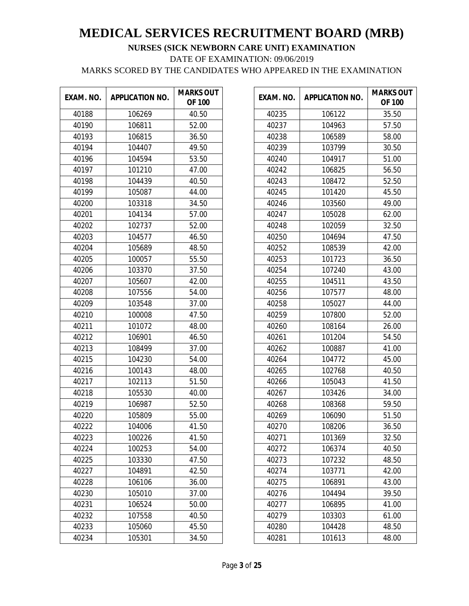| EXAM. NO. | <b>APPLICATION NO.</b> | <b>MARKS OUT</b><br><b>OF 100</b> |
|-----------|------------------------|-----------------------------------|
| 40188     | 106269                 | 40.50                             |
| 40190     | 106811                 | 52.00                             |
| 40193     | 106815                 | 36.50                             |
| 40194     | 104407                 | 49.50                             |
| 40196     | 104594                 | 53.50                             |
| 40197     | 101210                 | 47.00                             |
| 40198     | 104439                 | 40.50                             |
| 40199     | 105087                 | 44.00                             |
| 40200     | 103318                 | 34.50                             |
| 40201     | 104134                 | 57.00                             |
| 40202     | 102737                 | 52.00                             |
| 40203     | 104577                 | 46.50                             |
| 40204     | 105689                 | 48.50                             |
| 40205     | 100057                 | 55.50                             |
| 40206     | 103370                 | 37.50                             |
| 40207     | 105607                 | 42.00                             |
| 40208     | 107556                 | 54.00                             |
| 40209     | 103548                 | 37.00                             |
| 40210     | 100008                 | 47.50                             |
| 40211     | 101072                 | 48.00                             |
| 40212     | 106901                 | 46.50                             |
| 40213     | 108499                 | 37.00                             |
| 40215     | 104230                 | 54.00                             |
| 40216     | 100143                 | 48.00                             |
| 40217     | 102113                 | 51.50                             |
| 40218     | 105530                 | 40.00                             |
| 40219     | 106987                 | 52.50                             |
| 40220     | 105809                 | 55.00                             |
| 40222     | 104006                 | 41.50                             |
| 40223     | 100226                 | 41.50                             |
| 40224     | 100253                 | 54.00                             |
| 40225     | 103330                 | 47.50                             |
| 40227     | 104891                 | 42.50                             |
| 40228     | 106106                 | 36.00                             |
| 40230     | 105010                 | 37.00                             |
| 40231     | 106524                 | 50.00                             |
| 40232     | 107558                 | 40.50                             |
| 40233     | 105060                 | 45.50                             |
| 40234     | 105301                 | 34.50                             |

| EXAM. NO. | <b>APPLICATION NO.</b> | <b>MARKS OUT</b><br><b>OF 100</b> |
|-----------|------------------------|-----------------------------------|
| 40235     | 106122                 | 35.50                             |
| 40237     | 104963                 | 57.50                             |
| 40238     | 106589                 | 58.00                             |
| 40239     | 103799                 | 30.50                             |
| 40240     | 104917                 | 51.00                             |
| 40242     | 106825                 | 56.50                             |
| 40243     | 108472                 | 52.50                             |
| 40245     | 101420                 | 45.50                             |
| 40246     | 103560                 | 49.00                             |
| 40247     | 105028                 | 62.00                             |
| 40248     | 102059                 | 32.50                             |
| 40250     | 104694                 | 47.50                             |
| 40252     | 108539                 | 42.00                             |
| 40253     | 101723                 | 36.50                             |
| 40254     | 107240                 | 43.00                             |
| 40255     | 104511                 | 43.50                             |
| 40256     | 107577                 | 48.00                             |
| 40258     | 105027                 | 44.00                             |
| 40259     | 107800                 | 52.00                             |
| 40260     | 108164                 | 26.00                             |
| 40261     | 101204                 | 54.50                             |
| 40262     | 100887                 | 41.00                             |
| 40264     | 104772                 | 45.00                             |
| 40265     | 102768                 | 40.50                             |
| 40266     | 105043                 | 41.50                             |
| 40267     | 103426                 | 34.00                             |
| 40268     | 108368                 | 59.50                             |
| 40269     | 106090                 | 51.50                             |
| 40270     | 108206                 | 36.50                             |
| 40271     | 101369                 | 32.50                             |
| 40272     | 106374                 | 40.50                             |
| 40273     | 107232                 | 48.50                             |
| 40274     | 103771                 | 42.00                             |
| 40275     | 106891                 | 43.00                             |
| 40276     | 104494                 | 39.50                             |
| 40277     | 106895                 | 41.00                             |
| 40279     | 103303                 | 61.00                             |
| 40280     | 104428                 | 48.50                             |
| 40281     | 101613                 | 48.00                             |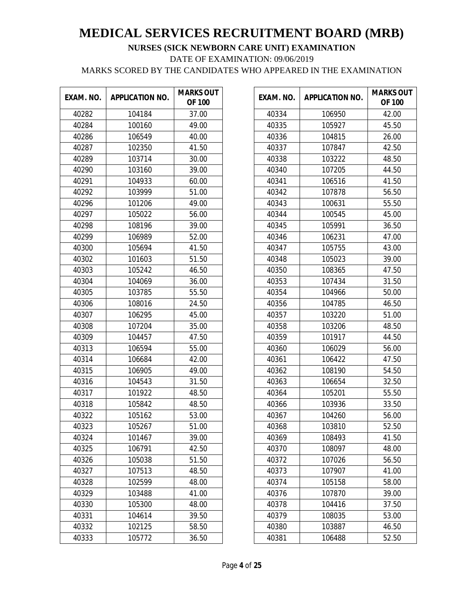| EXAM. NO. | <b>APPLICATION NO.</b> | <b>MARKS OUT</b><br><b>OF 100</b> |
|-----------|------------------------|-----------------------------------|
| 40282     | 104184                 | 37.00                             |
| 40284     | 100160                 | 49.00                             |
| 40286     | 106549                 | 40.00                             |
| 40287     | 102350                 | 41.50                             |
| 40289     | 103714                 | 30.00                             |
| 40290     | 103160                 | 39.00                             |
| 40291     | 104933                 | 60.00                             |
| 40292     | 103999                 | 51.00                             |
| 40296     | 101206                 | 49.00                             |
| 40297     | 105022                 | 56.00                             |
| 40298     | 108196                 | 39.00                             |
| 40299     | 106989                 | 52.00                             |
| 40300     | 105694                 | 41.50                             |
| 40302     | 101603                 | 51.50                             |
| 40303     | 105242                 | 46.50                             |
| 40304     | 104069                 | 36.00                             |
| 40305     | 103785                 | 55.50                             |
| 40306     | 108016                 | 24.50                             |
| 40307     | 106295                 | 45.00                             |
| 40308     | 107204                 | 35.00                             |
| 40309     | 104457                 | 47.50                             |
| 40313     | 106594                 | 55.00                             |
| 40314     | 106684                 | 42.00                             |
| 40315     | 106905                 | 49.00                             |
| 40316     | 104543                 | 31.50                             |
| 40317     | 101922                 | 48.50                             |
| 40318     | 105842                 | 48.50                             |
| 40322     | 105162                 | 53.00                             |
| 40323     | 105267                 | 51.00                             |
| 40324     | 101467                 | 39.00                             |
| 40325     | 106791                 | 42.50                             |
| 40326     | 105038                 | 51.50                             |
| 40327     | 107513                 | 48.50                             |
| 40328     | 102599                 | 48.00                             |
| 40329     | 103488                 | 41.00                             |
| 40330     | 105300                 | 48.00                             |
| 40331     | 104614                 | 39.50                             |
| 40332     | 102125                 | 58.50                             |
| 40333     | 105772                 | 36.50                             |

| EXAM. NO. | <b>APPLICATION NO.</b> | <b>MARKS OUT</b><br><b>OF 100</b> |
|-----------|------------------------|-----------------------------------|
| 40334     | 106950                 | 42.00                             |
| 40335     | 105927                 | 45.50                             |
| 40336     | 104815                 | 26.00                             |
| 40337     | 107847                 | 42.50                             |
| 40338     | 103222                 | 48.50                             |
| 40340     | 107205                 | 44.50                             |
| 40341     | 106516                 | 41.50                             |
| 40342     | 107878                 | 56.50                             |
| 40343     | 100631                 | 55.50                             |
| 40344     | 100545                 | 45.00                             |
| 40345     | 105991                 | 36.50                             |
| 40346     | 106231                 | 47.00                             |
| 40347     | 105755                 | 43.00                             |
| 40348     | 105023                 | 39.00                             |
| 40350     | 108365                 | 47.50                             |
| 40353     | 107434                 | 31.50                             |
| 40354     | 104966                 | 50.00                             |
| 40356     | 104785                 | 46.50                             |
| 40357     | 103220                 | 51.00                             |
| 40358     | 103206                 | 48.50                             |
| 40359     | 101917                 | 44.50                             |
| 40360     | 106029                 | 56.00                             |
| 40361     | 106422                 | 47.50                             |
| 40362     | 108190                 | 54.50                             |
| 40363     | 106654                 | 32.50                             |
| 40364     | 105201                 | 55.50                             |
| 40366     | 103936                 | 33.50                             |
| 40367     | 104260                 | 56.00                             |
| 40368     | 103810                 | 52.50                             |
| 40369     | 108493                 | 41.50                             |
| 40370     | 108097                 | 48.00                             |
| 40372     | 107026                 | 56.50                             |
| 40373     | 107907                 | 41.00                             |
| 40374     | 105158                 | 58.00                             |
| 40376     | 107870                 | 39.00                             |
| 40378     | 104416                 | 37.50                             |
| 40379     | 108035                 | 53.00                             |
| 40380     | 103887                 | 46.50                             |
| 40381     | 106488                 | 52.50                             |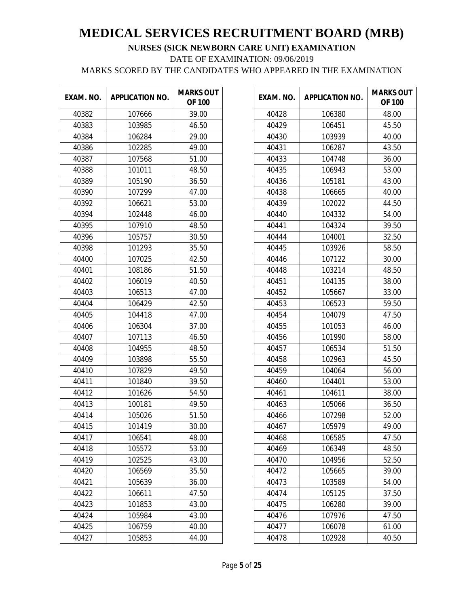| EXAM. NO. | <b>APPLICATION NO.</b> | <b>MARKS OUT</b><br><b>OF 100</b> |
|-----------|------------------------|-----------------------------------|
| 40382     | 107666                 | 39.00                             |
| 40383     | 103985                 | 46.50                             |
| 40384     | 106284                 | 29.00                             |
| 40386     | 102285                 | 49.00                             |
| 40387     | 107568                 | 51.00                             |
| 40388     | 101011                 | 48.50                             |
| 40389     | 105190                 | 36.50                             |
| 40390     | 107299                 | 47.00                             |
| 40392     | 106621                 | 53.00                             |
| 40394     | 102448                 | 46.00                             |
| 40395     | 107910                 | 48.50                             |
| 40396     | 105757                 | 30.50                             |
| 40398     | 101293                 | 35.50                             |
| 40400     | 107025                 | 42.50                             |
| 40401     | 108186                 | 51.50                             |
| 40402     | 106019                 | 40.50                             |
| 40403     | 106513                 | 47.00                             |
| 40404     | 106429                 | 42.50                             |
| 40405     | 104418                 | 47.00                             |
| 40406     | 106304                 | 37.00                             |
| 40407     | 107113                 | 46.50                             |
| 40408     | 104955                 | 48.50                             |
| 40409     | 103898                 | 55.50                             |
| 40410     | 107829                 | 49.50                             |
| 40411     | 101840                 | 39.50                             |
| 40412     | 101626                 | 54.50                             |
| 40413     | 100181                 | 49.50                             |
| 40414     | 105026                 | 51.50                             |
| 40415     | 101419                 | 30.00                             |
| 40417     | 106541                 | 48.00                             |
| 40418     | 105572                 | 53.00                             |
| 40419     | 102525                 | 43.00                             |
| 40420     | 106569                 | 35.50                             |
| 40421     | 105639                 | 36.00                             |
| 40422     | 106611                 | 47.50                             |
| 40423     | 101853                 | 43.00                             |
| 40424     | 105984                 | 43.00                             |
| 40425     | 106759                 | 40.00                             |
| 40427     | 105853                 | 44.00                             |

| EXAM. NO. | <b>APPLICATION NO.</b> | <b>MARKS OUT</b><br><b>OF 100</b> |
|-----------|------------------------|-----------------------------------|
| 40428     | 106380                 | 48.00                             |
| 40429     | 106451                 | 45.50                             |
| 40430     | 103939                 | 40.00                             |
| 40431     | 106287                 | 43.50                             |
| 40433     | 104748                 | 36.00                             |
| 40435     | 106943                 | 53.00                             |
| 40436     | 105181                 | 43.00                             |
| 40438     | 106665                 | 40.00                             |
| 40439     | 102022                 | 44.50                             |
| 40440     | 104332                 | 54.00                             |
| 40441     | 104324                 | 39.50                             |
| 40444     | 104001                 | 32.50                             |
| 40445     | 103926                 | 58.50                             |
| 40446     | 107122                 | 30.00                             |
| 40448     | 103214                 | 48.50                             |
| 40451     | 104135                 | 38.00                             |
| 40452     | 105667                 | 33.00                             |
| 40453     | 106523                 | 59.50                             |
| 40454     | 104079                 | 47.50                             |
| 40455     | 101053                 | 46.00                             |
| 40456     | 101990                 | 58.00                             |
| 40457     | 106534                 | 51.50                             |
| 40458     | 102963                 | 45.50                             |
| 40459     | 104064                 | 56.00                             |
| 40460     | 104401                 | 53.00                             |
| 40461     | 104611                 | 38.00                             |
| 40463     | 105066                 | 36.50                             |
| 40466     | 107298                 | 52.00                             |
| 40467     | 105979                 | 49.00                             |
| 40468     | 106585                 | 47.50                             |
| 40469     | 106349                 | 48.50                             |
| 40470     | 104956                 | 52.50                             |
| 40472     | 105665                 | 39.00                             |
| 40473     | 103589                 | 54.00                             |
| 40474     | 105125                 | 37.50                             |
| 40475     | 106280                 | 39.00                             |
| 40476     | 107976                 | 47.50                             |
| 40477     | 106078                 | 61.00                             |
| 40478     | 102928                 | 40.50                             |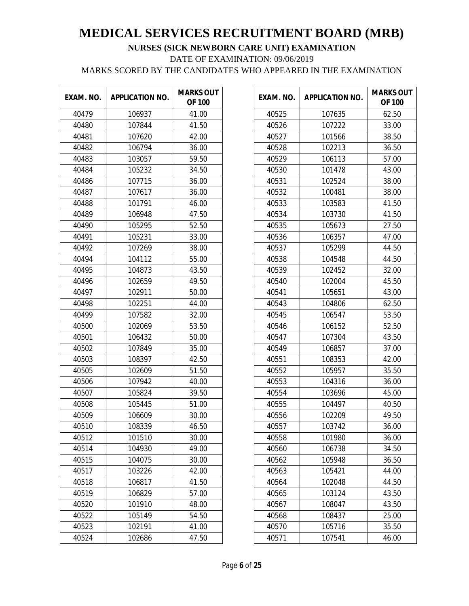| EXAM. NO. | <b>APPLICATION NO.</b> | <b>MARKS OUT</b><br><b>OF 100</b> |
|-----------|------------------------|-----------------------------------|
| 40479     | 106937                 | 41.00                             |
| 40480     | 107844                 | 41.50                             |
| 40481     | 107620                 | 42.00                             |
| 40482     | 106794                 | 36.00                             |
| 40483     | 103057                 | 59.50                             |
| 40484     | 105232                 | 34.50                             |
| 40486     | 107715                 | 36.00                             |
| 40487     | 107617                 | 36.00                             |
| 40488     | 101791                 | 46.00                             |
| 40489     | 106948                 | 47.50                             |
| 40490     | 105295                 | 52.50                             |
| 40491     | 105231                 | 33.00                             |
| 40492     | 107269                 | 38.00                             |
| 40494     | 104112                 | 55.00                             |
| 40495     | 104873                 | 43.50                             |
| 40496     | 102659                 | 49.50                             |
| 40497     | 102911                 | 50.00                             |
| 40498     | 102251                 | 44.00                             |
| 40499     | 107582                 | 32.00                             |
| 40500     | 102069                 | 53.50                             |
| 40501     | 106432                 | 50.00                             |
| 40502     | 107849                 | 35.00                             |
| 40503     | 108397                 | 42.50                             |
| 40505     | 102609                 | 51.50                             |
| 40506     | 107942                 | 40.00                             |
| 40507     | 105824                 | 39.50                             |
| 40508     | 105445                 | 51.00                             |
| 40509     | 106609                 | 30.00                             |
| 40510     | 108339                 | 46.50                             |
| 40512     | 101510                 | 30.00                             |
| 40514     | 104930                 | 49.00                             |
| 40515     | 104075                 | 30.00                             |
| 40517     | 103226                 | 42.00                             |
| 40518     | 106817                 | 41.50                             |
| 40519     | 106829                 | 57.00                             |
| 40520     | 101910                 | 48.00                             |
| 40522     | 105149                 | 54.50                             |
| 40523     | 102191                 | 41.00                             |
| 40524     | 102686                 | 47.50                             |

| EXAM. NO. | <b>APPLICATION NO.</b> | <b>MARKS OUT</b><br><b>OF 100</b> |
|-----------|------------------------|-----------------------------------|
| 40525     | 107635                 | 62.50                             |
| 40526     | 107222                 | 33.00                             |
| 40527     | 101566                 | 38.50                             |
| 40528     | 102213                 | 36.50                             |
| 40529     | 106113                 | 57.00                             |
| 40530     | 101478                 | 43.00                             |
| 40531     | 102524                 | 38.00                             |
| 40532     | 100481                 | 38.00                             |
| 40533     | 103583                 | 41.50                             |
| 40534     | 103730                 | 41.50                             |
| 40535     | 105673                 | 27.50                             |
| 40536     | 106357                 | 47.00                             |
| 40537     | 105299                 | 44.50                             |
| 40538     | 104548                 | 44.50                             |
| 40539     | 102452                 | 32.00                             |
| 40540     | 102004                 | 45.50                             |
| 40541     | 105651                 | 43.00                             |
| 40543     | 104806                 | 62.50                             |
| 40545     | 106547                 | 53.50                             |
| 40546     | 106152                 | 52.50                             |
| 40547     | 107304                 | 43.50                             |
| 40549     | 106857                 | 37.00                             |
| 40551     | 108353                 | 42.00                             |
| 40552     | 105957                 | 35.50                             |
| 40553     | 104316                 | 36.00                             |
| 40554     | 103696                 | 45.00                             |
| 40555     | 104497                 | 40.50                             |
| 40556     | 102209                 | 49.50                             |
| 40557     | 103742                 | 36.00                             |
| 40558     | 101980                 | 36.00                             |
| 40560     | 106738                 | 34.50                             |
| 40562     | 105948                 | 36.50                             |
| 40563     | 105421                 | 44.00                             |
| 40564     | 102048                 | 44.50                             |
| 40565     | 103124                 | 43.50                             |
| 40567     | 108047                 | 43.50                             |
| 40568     | 108437                 | 25.00                             |
| 40570     | 105716                 | 35.50                             |
| 40571     | 107541                 | 46.00                             |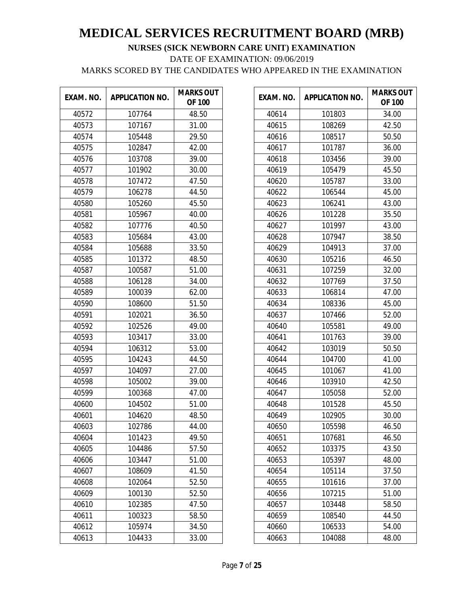| EXAM. NO. | <b>APPLICATION NO.</b> | <b>MARKS OUT</b><br><b>OF 100</b> |
|-----------|------------------------|-----------------------------------|
| 40572     | 107764                 | 48.50                             |
| 40573     | 107167                 | 31.00                             |
| 40574     | 105448                 | 29.50                             |
| 40575     | 102847                 | 42.00                             |
| 40576     | 103708                 | 39.00                             |
| 40577     | 101902                 | 30.00                             |
| 40578     | 107472                 | 47.50                             |
| 40579     | 106278                 | 44.50                             |
| 40580     | 105260                 | 45.50                             |
| 40581     | 105967                 | 40.00                             |
| 40582     | 107776                 | 40.50                             |
| 40583     | 105684                 | 43.00                             |
| 40584     | 105688                 | 33.50                             |
| 40585     | 101372                 | 48.50                             |
| 40587     | 100587                 | 51.00                             |
| 40588     | 106128                 | 34.00                             |
| 40589     | 100039                 | 62.00                             |
| 40590     | 108600                 | 51.50                             |
| 40591     | 102021                 | 36.50                             |
| 40592     | 102526                 | 49.00                             |
| 40593     | 103417                 | 33.00                             |
| 40594     | 106312                 | 53.00                             |
| 40595     | 104243                 | 44.50                             |
| 40597     | 104097                 | 27.00                             |
| 40598     | 105002                 | 39.00                             |
| 40599     | 100368                 | 47.00                             |
| 40600     | 104502                 | 51.00                             |
| 40601     | 104620                 | 48.50                             |
| 40603     | 102786                 | 44.00                             |
| 40604     | 101423                 | 49.50                             |
| 40605     | 104486                 | 57.50                             |
| 40606     | 103447                 | 51.00                             |
| 40607     | 108609                 | 41.50                             |
| 40608     | 102064                 | 52.50                             |
| 40609     | 100130                 | 52.50                             |
| 40610     | 102385                 | 47.50                             |
| 40611     | 100323                 | 58.50                             |
| 40612     | 105974                 | 34.50                             |
| 40613     | 104433                 | 33.00                             |

| EXAM. NO. | <b>APPLICATION NO.</b> | <b>MARKS OUT</b><br><b>OF 100</b> |
|-----------|------------------------|-----------------------------------|
| 40614     | 101803                 | 34.00                             |
| 40615     | 108269                 | 42.50                             |
| 40616     | 108517                 | 50.50                             |
| 40617     | 101787                 | 36.00                             |
| 40618     | 103456                 | 39.00                             |
| 40619     | 105479                 | 45.50                             |
| 40620     | 105787                 | 33.00                             |
| 40622     | 106544                 | 45.00                             |
| 40623     | 106241                 | 43.00                             |
| 40626     | 101228                 | 35.50                             |
| 40627     | 101997                 | 43.00                             |
| 40628     | 107947                 | 38.50                             |
| 40629     | 104913                 | 37.00                             |
| 40630     | 105216                 | 46.50                             |
| 40631     | 107259                 | 32.00                             |
| 40632     | 107769                 | 37.50                             |
| 40633     | 106814                 | 47.00                             |
| 40634     | 108336                 | 45.00                             |
| 40637     | 107466                 | 52.00                             |
| 40640     | 105581                 | 49.00                             |
| 40641     | 101763                 | 39.00                             |
| 40642     | 103019                 | 50.50                             |
| 40644     | 104700                 | 41.00                             |
| 40645     | 101067                 | 41.00                             |
| 40646     | 103910                 | 42.50                             |
| 40647     | 105058                 | 52.00                             |
| 40648     | 101528                 | 45.50                             |
| 40649     | 102905                 | 30.00                             |
| 40650     | 105598                 | 46.50                             |
| 40651     | 107681                 | 46.50                             |
| 40652     | 103375                 | 43.50                             |
| 40653     | 105397                 | 48.00                             |
| 40654     | 105114                 | 37.50                             |
| 40655     | 101616                 | 37.00                             |
| 40656     | 107215                 | 51.00                             |
| 40657     | 103448                 | 58.50                             |
| 40659     | 108540                 | 44.50                             |
| 40660     | 106533                 | 54.00                             |
| 40663     | 104088                 | 48.00                             |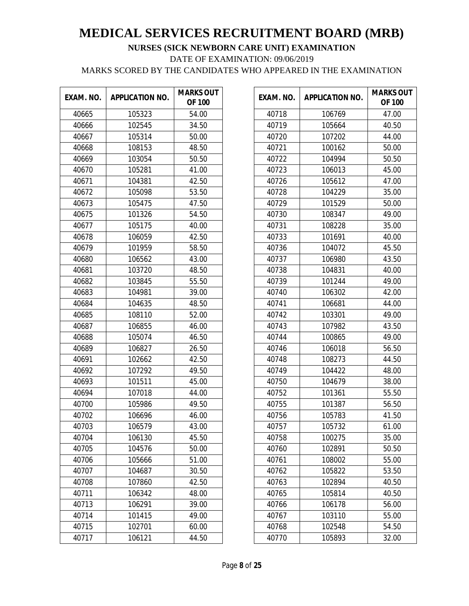| EXAM. NO. | <b>APPLICATION NO.</b> | <b>MARKS OUT</b><br><b>OF 100</b> |
|-----------|------------------------|-----------------------------------|
| 40665     | 105323                 | 54.00                             |
| 40666     | 102545                 | 34.50                             |
| 40667     | 105314                 | 50.00                             |
| 40668     | 108153                 | 48.50                             |
| 40669     | 103054                 | 50.50                             |
| 40670     | 105281                 | 41.00                             |
| 40671     | 104381                 | 42.50                             |
| 40672     | 105098                 | 53.50                             |
| 40673     | 105475                 | 47.50                             |
| 40675     | 101326                 | 54.50                             |
| 40677     | 105175                 | 40.00                             |
| 40678     | 106059                 | 42.50                             |
| 40679     | 101959                 | 58.50                             |
| 40680     | 106562                 | 43.00                             |
| 40681     | 103720                 | 48.50                             |
| 40682     | 103845                 | 55.50                             |
| 40683     | 104981                 | 39.00                             |
| 40684     | 104635                 | 48.50                             |
| 40685     | 108110                 | 52.00                             |
| 40687     | 106855                 | 46.00                             |
| 40688     | 105074                 | 46.50                             |
| 40689     | 106827                 | 26.50                             |
| 40691     | 102662                 | 42.50                             |
| 40692     | 107292                 | 49.50                             |
| 40693     | 101511                 | 45.00                             |
| 40694     | 107018                 | 44.00                             |
| 40700     | 105986                 | 49.50                             |
| 40702     | 106696                 | 46.00                             |
| 40703     | 106579                 | 43.00                             |
| 40704     | 106130                 | 45.50                             |
| 40705     | 104576                 | 50.00                             |
| 40706     | 105666                 | 51.00                             |
| 40707     | 104687                 | 30.50                             |
| 40708     | 107860                 | 42.50                             |
| 40711     | 106342                 | 48.00                             |
| 40713     | 106291                 | 39.00                             |
| 40714     | 101415                 | 49.00                             |
| 40715     | 102701                 | 60.00                             |
| 40717     | 106121                 | 44.50                             |

| EXAM. NO. | <b>APPLICATION NO.</b> | <b>MARKS OUT</b><br><b>OF 100</b> |
|-----------|------------------------|-----------------------------------|
| 40718     | 106769                 | 47.00                             |
| 40719     | 105664                 | 40.50                             |
| 40720     | 107202                 | 44.00                             |
| 40721     | 100162                 | 50.00                             |
| 40722     | 104994                 | 50.50                             |
| 40723     | 106013                 | 45.00                             |
| 40726     | 105612                 | 47.00                             |
| 40728     | 104229                 | 35.00                             |
| 40729     | 101529                 | 50.00                             |
| 40730     | 108347                 | 49.00                             |
| 40731     | 108228                 | 35.00                             |
| 40733     | 101691                 | 40.00                             |
| 40736     | 104072                 | 45.50                             |
| 40737     | 106980                 | 43.50                             |
| 40738     | 104831                 | 40.00                             |
| 40739     | 101244                 | 49.00                             |
| 40740     | 106302                 | 42.00                             |
| 40741     | 106681                 | 44.00                             |
| 40742     | 103301                 | 49.00                             |
| 40743     | 107982                 | 43.50                             |
| 40744     | 100865                 | 49.00                             |
| 40746     | 106018                 | 56.50                             |
| 40748     | 108273                 | 44.50                             |
| 40749     | 104422                 | 48.00                             |
| 40750     | 104679                 | 38.00                             |
| 40752     | 101361                 | 55.50                             |
| 40755     | 101387                 | 56.50                             |
| 40756     | 105783                 | 41.50                             |
| 40757     | 105732                 | 61.00                             |
| 40758     | 100275                 | 35.00                             |
| 40760     | 102891                 | 50.50                             |
| 40761     | 108002                 | 55.00                             |
| 40762     | 105822                 | 53.50                             |
| 40763     | 102894                 | 40.50                             |
| 40765     | 105814                 | 40.50                             |
| 40766     | 106178                 | 56.00                             |
| 40767     | 103110                 | 55.00                             |
| 40768     | 102548                 | 54.50                             |
| 40770     | 105893                 | 32.00                             |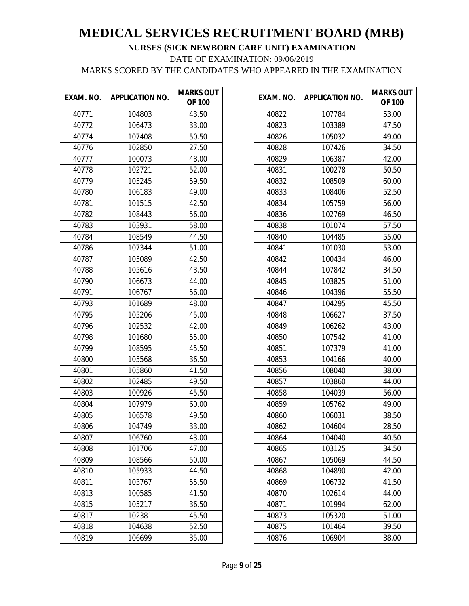| EXAM. NO. | <b>APPLICATION NO.</b> | <b>MARKS OUT</b><br><b>OF 100</b> |
|-----------|------------------------|-----------------------------------|
| 40771     | 104803                 | 43.50                             |
| 40772     | 106473                 | 33.00                             |
| 40774     | 107408                 | 50.50                             |
| 40776     | 102850                 | 27.50                             |
| 40777     | 100073                 | 48.00                             |
| 40778     | 102721                 | 52.00                             |
| 40779     | 105245                 | 59.50                             |
| 40780     | 106183                 | 49.00                             |
| 40781     | 101515                 | 42.50                             |
| 40782     | 108443                 | 56.00                             |
| 40783     | 103931                 | 58.00                             |
| 40784     | 108549                 | 44.50                             |
| 40786     | 107344                 | 51.00                             |
| 40787     | 105089                 | 42.50                             |
| 40788     | 105616                 | 43.50                             |
| 40790     | 106673                 | 44.00                             |
| 40791     | 106767                 | 56.00                             |
| 40793     | 101689                 | 48.00                             |
| 40795     | 105206                 | 45.00                             |
| 40796     | 102532                 | 42.00                             |
| 40798     | 101680                 | 55.00                             |
| 40799     | 108595                 | 45.50                             |
| 40800     | 105568                 | 36.50                             |
| 40801     | 105860                 | 41.50                             |
| 40802     | 102485                 | 49.50                             |
| 40803     | 100926                 | 45.50                             |
| 40804     | 107979                 | 60.00                             |
| 40805     | 106578                 | 49.50                             |
| 40806     | 104749                 | 33.00                             |
| 40807     | 106760                 | 43.00                             |
| 40808     | 101706                 | 47.00                             |
| 40809     | 108566                 | 50.00                             |
| 40810     | 105933                 | 44.50                             |
| 40811     | 103767                 | 55.50                             |
| 40813     | 100585                 | 41.50                             |
| 40815     | 105217                 | 36.50                             |
| 40817     | 102381                 | 45.50                             |
| 40818     | 104638                 | 52.50                             |
| 40819     | 106699                 | 35.00                             |

| EXAM. NO. | <b>APPLICATION NO.</b> | <b>MARKS OUT</b><br><b>OF 100</b> |
|-----------|------------------------|-----------------------------------|
| 40822     | 107784                 | 53.00                             |
| 40823     | 103389                 | 47.50                             |
| 40826     | 105032                 | 49.00                             |
| 40828     | 107426                 | 34.50                             |
| 40829     | 106387                 | 42.00                             |
| 40831     | 100278                 | 50.50                             |
| 40832     | 108509                 | 60.00                             |
| 40833     | 108406                 | 52.50                             |
| 40834     | 105759                 | 56.00                             |
| 40836     | 102769                 | 46.50                             |
| 40838     | 101074                 | 57.50                             |
| 40840     | 104485                 | 55.00                             |
| 40841     | 101030                 | 53.00                             |
| 40842     | 100434                 | 46.00                             |
| 40844     | 107842                 | 34.50                             |
| 40845     | 103825                 | 51.00                             |
| 40846     | 104396                 | 55.50                             |
| 40847     | 104295                 | 45.50                             |
| 40848     | 106627                 | 37.50                             |
| 40849     | 106262                 | 43.00                             |
| 40850     | 107542                 | 41.00                             |
| 40851     | 107379                 | 41.00                             |
| 40853     | 104166                 | 40.00                             |
| 40856     | 108040                 | 38.00                             |
| 40857     | 103860                 | 44.00                             |
| 40858     | 104039                 | 56.00                             |
| 40859     | 105762                 | 49.00                             |
| 40860     | 106031                 | 38.50                             |
| 40862     | 104604                 | 28.50                             |
| 40864     | 104040                 | 40.50                             |
| 40865     | 103125                 | 34.50                             |
| 40867     | 105069                 | 44.50                             |
| 40868     | 104890                 | 42.00                             |
| 40869     | 106732                 | 41.50                             |
| 40870     | 102614                 | 44.00                             |
| 40871     | 101994                 | 62.00                             |
| 40873     | 105320                 | 51.00                             |
| 40875     | 101464                 | 39.50                             |
| 40876     | 106904                 | 38.00                             |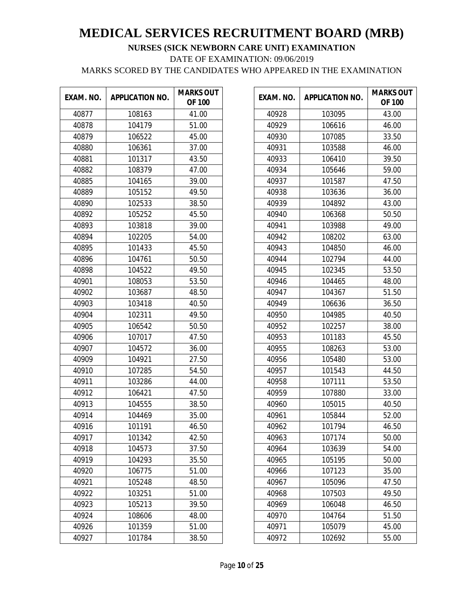| EXAM. NO. | <b>APPLICATION NO.</b> | <b>MARKS OUT</b><br><b>OF 100</b> |
|-----------|------------------------|-----------------------------------|
| 40877     | 108163                 | 41.00                             |
| 40878     | 104179                 | 51.00                             |
| 40879     | 106522                 | 45.00                             |
| 40880     | 106361                 | 37.00                             |
| 40881     | 101317                 | 43.50                             |
| 40882     | 108379                 | 47.00                             |
| 40885     | 104165                 | 39.00                             |
| 40889     | 105152                 | 49.50                             |
| 40890     | 102533                 | 38.50                             |
| 40892     | 105252                 | 45.50                             |
| 40893     | 103818                 | 39.00                             |
| 40894     | 102205                 | 54.00                             |
| 40895     | 101433                 | 45.50                             |
| 40896     | 104761                 | 50.50                             |
| 40898     | 104522                 | 49.50                             |
| 40901     | 108053                 | 53.50                             |
| 40902     | 103687                 | 48.50                             |
| 40903     | 103418                 | 40.50                             |
| 40904     | 102311                 | 49.50                             |
| 40905     | 106542                 | 50.50                             |
| 40906     | 107017                 | 47.50                             |
| 40907     | 104572                 | 36.00                             |
| 40909     | 104921                 | 27.50                             |
| 40910     | 107285                 | 54.50                             |
| 40911     | 103286                 | 44.00                             |
| 40912     | 106421                 | 47.50                             |
| 40913     | 104555                 | 38.50                             |
| 40914     | 104469                 | 35.00                             |
| 40916     | 101191                 | 46.50                             |
| 40917     | 101342                 | 42.50                             |
| 40918     | 104573                 | 37.50                             |
| 40919     | 104293                 | 35.50                             |
| 40920     | 106775                 | 51.00                             |
| 40921     | 105248                 | 48.50                             |
| 40922     | 103251                 | 51.00                             |
| 40923     | 105213                 | 39.50                             |
| 40924     | 108606                 | 48.00                             |
| 40926     | 101359                 | 51.00                             |
| 40927     | 101784                 | 38.50                             |

| EXAM. NO. | <b>APPLICATION NO.</b> | <b>MARKS OUT</b><br><b>OF 100</b> |
|-----------|------------------------|-----------------------------------|
| 40928     | 103095                 | 43.00                             |
| 40929     | 106616                 | 46.00                             |
| 40930     | 107085                 | 33.50                             |
| 40931     | 103588                 | 46.00                             |
| 40933     | 106410                 | 39.50                             |
| 40934     | 105646                 | 59.00                             |
| 40937     | 101587                 | 47.50                             |
| 40938     | 103636                 | 36.00                             |
| 40939     | 104892                 | 43.00                             |
| 40940     | 106368                 | 50.50                             |
| 40941     | 103988                 | 49.00                             |
| 40942     | 108202                 | 63.00                             |
| 40943     | 104850                 | 46.00                             |
| 40944     | 102794                 | 44.00                             |
| 40945     | 102345                 | 53.50                             |
| 40946     | 104465                 | 48.00                             |
| 40947     | 104367                 | 51.50                             |
| 40949     | 106636                 | 36.50                             |
| 40950     | 104985                 | 40.50                             |
| 40952     | 102257                 | 38.00                             |
| 40953     | 101183                 | 45.50                             |
| 40955     | 108263                 | 53.00                             |
| 40956     | 105480                 | 53.00                             |
| 40957     | 101543                 | 44.50                             |
| 40958     | 107111                 | 53.50                             |
| 40959     | 107880                 | 33.00                             |
| 40960     | 105015                 | 40.50                             |
| 40961     | 105844                 | 52.00                             |
| 40962     | 101794                 | 46.50                             |
| 40963     | 107174                 | 50.00                             |
| 40964     | 103639                 | 54.00                             |
| 40965     | 105195                 | 50.00                             |
| 40966     | 107123                 | 35.00                             |
| 40967     | 105096                 | 47.50                             |
| 40968     | 107503                 | 49.50                             |
| 40969     | 106048                 | 46.50                             |
| 40970     | 104764                 | 51.50                             |
| 40971     | 105079                 | 45.00                             |
| 40972     | 102692                 | 55.00                             |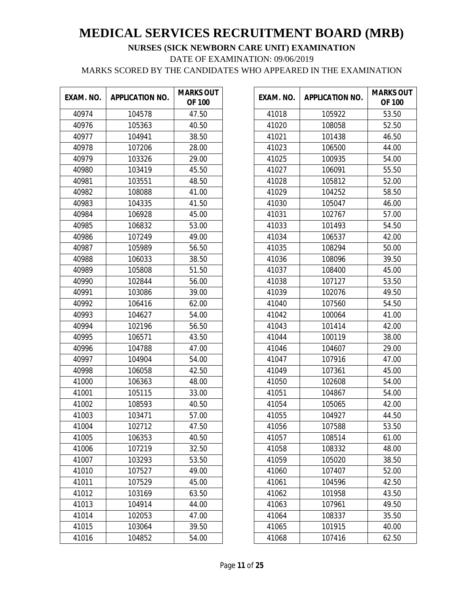| EXAM. NO. | <b>APPLICATION NO.</b> | <b>MARKS OUT</b><br><b>OF 100</b> |
|-----------|------------------------|-----------------------------------|
| 40974     | 104578                 | 47.50                             |
| 40976     | 105363                 | 40.50                             |
| 40977     | 104941                 | 38.50                             |
| 40978     | 107206                 | 28.00                             |
| 40979     | 103326                 | 29.00                             |
| 40980     | 103419                 | 45.50                             |
| 40981     | 103551                 | 48.50                             |
| 40982     | 108088                 | 41.00                             |
| 40983     | 104335                 | 41.50                             |
| 40984     | 106928                 | 45.00                             |
| 40985     | 106832                 | 53.00                             |
| 40986     | 107249                 | 49.00                             |
| 40987     | 105989                 | 56.50                             |
| 40988     | 106033                 | 38.50                             |
| 40989     | 105808                 | 51.50                             |
| 40990     | 102844                 | 56.00                             |
| 40991     | 103086                 | 39.00                             |
| 40992     | 106416                 | 62.00                             |
| 40993     | 104627                 | 54.00                             |
| 40994     | 102196                 | 56.50                             |
| 40995     | 106571                 | 43.50                             |
| 40996     | 104788                 | 47.00                             |
| 40997     | 104904                 | 54.00                             |
| 40998     | 106058                 | 42.50                             |
| 41000     | 106363                 | 48.00                             |
| 41001     | 105115                 | 33.00                             |
| 41002     | 108593                 | 40.50                             |
| 41003     | 103471                 | 57.00                             |
| 41004     | 102712                 | 47.50                             |
| 41005     | 106353                 | 40.50                             |
| 41006     | 107219                 | 32.50                             |
| 41007     | 103293                 | 53.50                             |
| 41010     | 107527                 | 49.00                             |
| 41011     | 107529                 | 45.00                             |
| 41012     | 103169                 | 63.50                             |
| 41013     | 104914                 | 44.00                             |
| 41014     | 102053                 | 47.00                             |
| 41015     | 103064                 | 39.50                             |
| 41016     | 104852                 | 54.00                             |

| EXAM. NO. | <b>APPLICATION NO.</b> | <b>MARKS OUT</b><br><b>OF 100</b> |
|-----------|------------------------|-----------------------------------|
| 41018     | 105922                 | 53.50                             |
| 41020     | 108058                 | 52.50                             |
| 41021     | 101438                 | 46.50                             |
| 41023     | 106500                 | 44.00                             |
| 41025     | 100935                 | 54.00                             |
| 41027     | 106091                 | 55.50                             |
| 41028     | 105812                 | 52.00                             |
| 41029     | 104252                 | 58.50                             |
| 41030     | 105047                 | 46.00                             |
| 41031     | 102767                 | 57.00                             |
| 41033     | 101493                 | 54.50                             |
| 41034     | 106537                 | 42.00                             |
| 41035     | 108294                 | 50.00                             |
| 41036     | 108096                 | 39.50                             |
| 41037     | 108400                 | 45.00                             |
| 41038     | 107127                 | 53.50                             |
| 41039     | 102076                 | 49.50                             |
| 41040     | 107560                 | 54.50                             |
| 41042     | 100064                 | 41.00                             |
| 41043     | 101414                 | 42.00                             |
| 41044     | 100119                 | 38.00                             |
| 41046     | 104607                 | 29.00                             |
| 41047     | 107916                 | 47.00                             |
| 41049     | 107361                 | 45.00                             |
| 41050     | 102608                 | 54.00                             |
| 41051     | 104867                 | 54.00                             |
| 41054     | 105065                 | 42.00                             |
| 41055     | 104927                 | 44.50                             |
| 41056     | 107588                 | 53.50                             |
| 41057     | 108514                 | 61.00                             |
| 41058     | 108332                 | 48.00                             |
| 41059     | 105020                 | 38.50                             |
| 41060     | 107407                 | 52.00                             |
| 41061     | 104596                 | 42.50                             |
| 41062     | 101958                 | 43.50                             |
| 41063     | 107961                 | 49.50                             |
| 41064     | 108337                 | 35.50                             |
| 41065     | 101915                 | 40.00                             |
| 41068     | 107416                 | 62.50                             |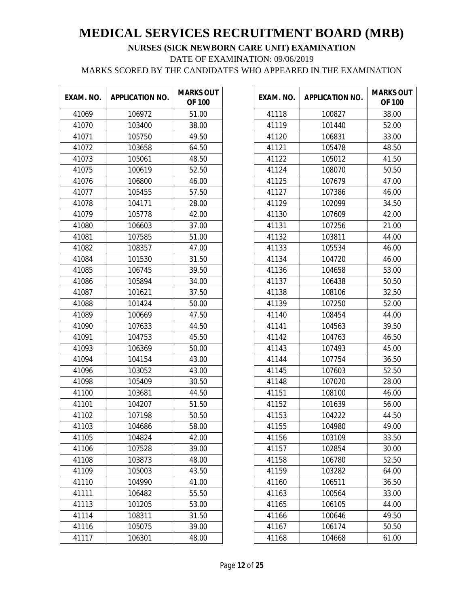| EXAM. NO. | <b>APPLICATION NO.</b> | <b>MARKS OUT</b><br><b>OF 100</b> |
|-----------|------------------------|-----------------------------------|
| 41069     | 106972                 | 51.00                             |
| 41070     | 103400                 | 38.00                             |
| 41071     | 105750                 | 49.50                             |
| 41072     | 103658                 | 64.50                             |
| 41073     | 105061                 | 48.50                             |
| 41075     | 100619                 | 52.50                             |
| 41076     | 106800                 | 46.00                             |
| 41077     | 105455                 | 57.50                             |
| 41078     | 104171                 | 28.00                             |
| 41079     | 105778                 | 42.00                             |
| 41080     | 106603                 | 37.00                             |
| 41081     | 107585                 | 51.00                             |
| 41082     | 108357                 | 47.00                             |
| 41084     | 101530                 | 31.50                             |
| 41085     | 106745                 | 39.50                             |
| 41086     | 105894                 | 34.00                             |
| 41087     | 101621                 | 37.50                             |
| 41088     | 101424                 | 50.00                             |
| 41089     | 100669                 | 47.50                             |
| 41090     | 107633                 | 44.50                             |
| 41091     | 104753                 | 45.50                             |
| 41093     | 106369                 | 50.00                             |
| 41094     | 104154                 | 43.00                             |
| 41096     | 103052                 | 43.00                             |
| 41098     | 105409                 | 30.50                             |
| 41100     | 103681                 | 44.50                             |
| 41101     | 104207                 | 51.50                             |
| 41102     | 107198                 | 50.50                             |
| 41103     | 104686                 | 58.00                             |
| 41105     | 104824                 | 42.00                             |
| 41106     | 107528                 | 39.00                             |
| 41108     | 103873                 | 48.00                             |
| 41109     | 105003                 | 43.50                             |
| 41110     | 104990                 | 41.00                             |
| 41111     | 106482                 | 55.50                             |
| 41113     | 101205                 | 53.00                             |
| 41114     | 108311                 | 31.50                             |
| 41116     | 105075                 | 39.00                             |
| 41117     | 106301                 | 48.00                             |

| EXAM. NO. | <b>APPLICATION NO.</b> | <b>MARKS OUT</b><br><b>OF 100</b> |
|-----------|------------------------|-----------------------------------|
| 41118     | 100827                 | 38.00                             |
| 41119     | 101440                 | 52.00                             |
| 41120     | 106831                 | 33.00                             |
| 41121     | 105478                 | 48.50                             |
| 41122     | 105012                 | 41.50                             |
| 41124     | 108070                 | 50.50                             |
| 41125     | 107679                 | 47.00                             |
| 41127     | 107386                 | 46.00                             |
| 41129     | 102099                 | 34.50                             |
| 41130     | 107609                 | 42.00                             |
| 41131     | 107256                 | 21.00                             |
| 41132     | 103811                 | 44.00                             |
| 41133     | 105534                 | 46.00                             |
| 41134     | 104720                 | 46.00                             |
| 41136     | 104658                 | 53.00                             |
| 41137     | 106438                 | 50.50                             |
| 41138     | 108106                 | 32.50                             |
| 41139     | 107250                 | 52.00                             |
| 41140     | 108454                 | 44.00                             |
| 41141     | 104563                 | 39.50                             |
| 41142     | 104763                 | 46.50                             |
| 41143     | 107493                 | 45.00                             |
| 41144     | 107754                 | 36.50                             |
| 41145     | 107603                 | 52.50                             |
| 41148     | 107020                 | 28.00                             |
| 41151     | 108100                 | 46.00                             |
| 41152     | 101639                 | 56.00                             |
| 41153     | 104222                 | 44.50                             |
| 41155     | 104980                 | 49.00                             |
| 41156     | 103109                 | 33.50                             |
| 41157     | 102854                 | 30.00                             |
| 41158     | 106780                 | 52.50                             |
| 41159     | 103282                 | 64.00                             |
| 41160     | 106511                 | 36.50                             |
| 41163     | 100564                 | 33.00                             |
| 41165     | 106105                 | 44.00                             |
| 41166     | 100646                 | 49.50                             |
| 41167     | 106174                 | 50.50                             |
| 41168     | 104668                 | 61.00                             |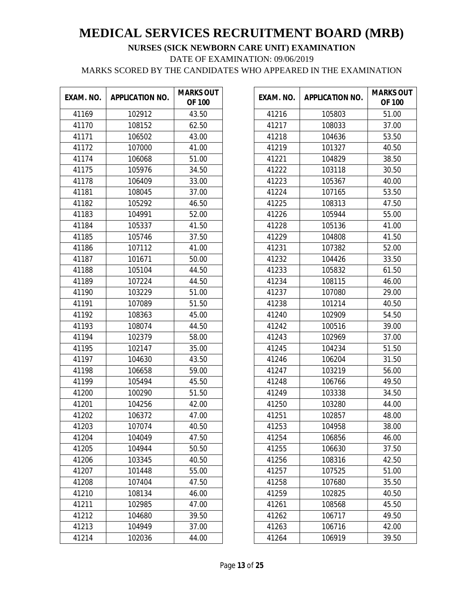| EXAM. NO. | <b>APPLICATION NO.</b> | <b>MARKS OUT</b><br><b>OF 100</b> |
|-----------|------------------------|-----------------------------------|
| 41169     | 102912                 | 43.50                             |
| 41170     | 108152                 | 62.50                             |
| 41171     | 106502                 | 43.00                             |
| 41172     | 107000                 | 41.00                             |
| 41174     | 106068                 | 51.00                             |
| 41175     | 105976                 | 34.50                             |
| 41178     | 106409                 | 33.00                             |
| 41181     | 108045                 | 37.00                             |
| 41182     | 105292                 | 46.50                             |
| 41183     | 104991                 | 52.00                             |
| 41184     | 105337                 | 41.50                             |
| 41185     | 105746                 | 37.50                             |
| 41186     | 107112                 | 41.00                             |
| 41187     | 101671                 | 50.00                             |
| 41188     | 105104                 | 44.50                             |
| 41189     | 107224                 | 44.50                             |
| 41190     | 103229                 | 51.00                             |
| 41191     | 107089                 | 51.50                             |
| 41192     | 108363                 | 45.00                             |
| 41193     | 108074                 | 44.50                             |
| 41194     | 102379                 | 58.00                             |
| 41195     | 102147                 | 35.00                             |
| 41197     | 104630                 | 43.50                             |
| 41198     | 106658                 | 59.00                             |
| 41199     | 105494                 | 45.50                             |
| 41200     | 100290                 | 51.50                             |
| 41201     | 104256                 | 42.00                             |
| 41202     | 106372                 | 47.00                             |
| 41203     | 107074                 | 40.50                             |
| 41204     | 104049                 | 47.50                             |
| 41205     | 104944                 | 50.50                             |
| 41206     | 103345                 | 40.50                             |
| 41207     | 101448                 | 55.00                             |
| 41208     | 107404                 | 47.50                             |
| 41210     | 108134                 | 46.00                             |
| 41211     | 102985                 | 47.00                             |
| 41212     | 104680                 | 39.50                             |
| 41213     | 104949                 | 37.00                             |
| 41214     | 102036                 | 44.00                             |

| EXAM. NO. | <b>APPLICATION NO.</b> | <b>MARKS OUT</b><br><b>OF 100</b> |
|-----------|------------------------|-----------------------------------|
| 41216     | 105803                 | 51.00                             |
| 41217     | 108033                 | 37.00                             |
| 41218     | 104636                 | 53.50                             |
| 41219     | 101327                 | 40.50                             |
| 41221     | 104829                 | 38.50                             |
| 41222     | 103118                 | 30.50                             |
| 41223     | 105367                 | 40.00                             |
| 41224     | 107165                 | 53.50                             |
| 41225     | 108313                 | 47.50                             |
| 41226     | 105944                 | 55.00                             |
| 41228     | 105136                 | 41.00                             |
| 41229     | 104808                 | 41.50                             |
| 41231     | 107382                 | 52.00                             |
| 41232     | 104426                 | 33.50                             |
| 41233     | 105832                 | 61.50                             |
| 41234     | 108115                 | 46.00                             |
| 41237     | 107080                 | 29.00                             |
| 41238     | 101214                 | 40.50                             |
| 41240     | 102909                 | 54.50                             |
| 41242     | 100516                 | 39.00                             |
| 41243     | 102969                 | 37.00                             |
| 41245     | 104234                 | 51.50                             |
| 41246     | 106204                 | 31.50                             |
| 41247     | 103219                 | 56.00                             |
| 41248     | 106766                 | 49.50                             |
| 41249     | 103338                 | 34.50                             |
| 41250     | 103280                 | 44.00                             |
| 41251     | 102857                 | 48.00                             |
| 41253     | 104958                 | 38.00                             |
| 41254     | 106856                 | 46.00                             |
| 41255     | 106630                 | 37.50                             |
| 41256     | 108316                 | 42.50                             |
| 41257     | 107525                 | 51.00                             |
| 41258     | 107680                 | 35.50                             |
| 41259     | 102825                 | 40.50                             |
| 41261     | 108568                 | 45.50                             |
| 41262     | 106717                 | 49.50                             |
| 41263     | 106716                 | 42.00                             |
| 41264     | 106919                 | 39.50                             |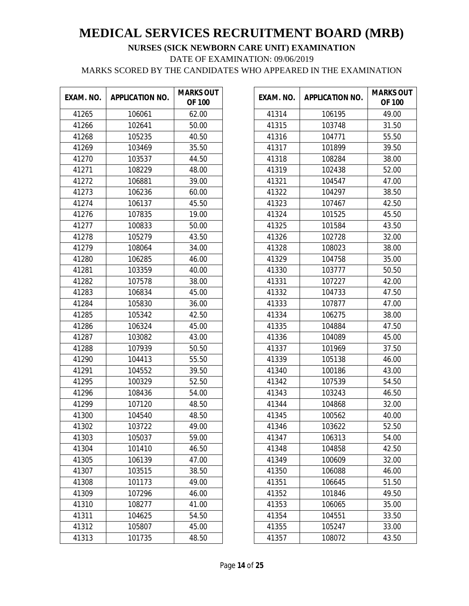| EXAM. NO. | <b>APPLICATION NO.</b> | <b>MARKS OUT</b><br><b>OF 100</b> |
|-----------|------------------------|-----------------------------------|
| 41265     | 106061                 | 62.00                             |
| 41266     | 102641                 | 50.00                             |
| 41268     | 105235                 | 40.50                             |
| 41269     | 103469                 | 35.50                             |
| 41270     | 103537                 | 44.50                             |
| 41271     | 108229                 | 48.00                             |
| 41272     | 106881                 | 39.00                             |
| 41273     | 106236                 | 60.00                             |
| 41274     | 106137                 | 45.50                             |
| 41276     | 107835                 | 19.00                             |
| 41277     | 100833                 | 50.00                             |
| 41278     | 105279                 | 43.50                             |
| 41279     | 108064                 | 34.00                             |
| 41280     | 106285                 | 46.00                             |
| 41281     | 103359                 | 40.00                             |
| 41282     | 107578                 | 38.00                             |
| 41283     | 106834                 | 45.00                             |
| 41284     | 105830                 | 36.00                             |
| 41285     | 105342                 | 42.50                             |
| 41286     | 106324                 | 45.00                             |
| 41287     | 103082                 | 43.00                             |
| 41288     | 107939                 | 50.50                             |
| 41290     | 104413                 | 55.50                             |
| 41291     | 104552                 | 39.50                             |
| 41295     | 100329                 | 52.50                             |
| 41296     | 108436                 | 54.00                             |
| 41299     | 107120                 | 48.50                             |
| 41300     | 104540                 | 48.50                             |
| 41302     | 103722                 | 49.00                             |
| 41303     | 105037                 | 59.00                             |
| 41304     | 101410                 | 46.50                             |
| 41305     | 106139                 | 47.00                             |
| 41307     | 103515                 | 38.50                             |
| 41308     | 101173                 | 49.00                             |
| 41309     | 107296                 | 46.00                             |
| 41310     | 108277                 | 41.00                             |
| 41311     | 104625                 | 54.50                             |
| 41312     | 105807                 | 45.00                             |
| 41313     | 101735                 | 48.50                             |

| EXAM. NO. | <b>APPLICATION NO.</b> | <b>MARKS OUT</b><br><b>OF 100</b> |
|-----------|------------------------|-----------------------------------|
| 41314     | 106195                 | 49.00                             |
| 41315     | 103748                 | 31.50                             |
| 41316     | 104771                 | 55.50                             |
| 41317     | 101899                 | 39.50                             |
| 41318     | 108284                 | 38.00                             |
| 41319     | 102438                 | 52.00                             |
| 41321     | 104547                 | 47.00                             |
| 41322     | 104297                 | 38.50                             |
| 41323     | 107467                 | 42.50                             |
| 41324     | 101525                 | 45.50                             |
| 41325     | 101584                 | 43.50                             |
| 41326     | 102728                 | 32.00                             |
| 41328     | 108023                 | 38.00                             |
| 41329     | 104758                 | 35.00                             |
| 41330     | 103777                 | 50.50                             |
| 41331     | 107227                 | 42.00                             |
| 41332     | 104733                 | 47.50                             |
| 41333     | 107877                 | 47.00                             |
| 41334     | 106275                 | 38.00                             |
| 41335     | 104884                 | 47.50                             |
| 41336     | 104089                 | 45.00                             |
| 41337     | 101969                 | 37.50                             |
| 41339     | 105138                 | 46.00                             |
| 41340     | 100186                 | 43.00                             |
| 41342     | 107539                 | 54.50                             |
| 41343     | 103243                 | 46.50                             |
| 41344     | 104868                 | 32.00                             |
| 41345     | 100562                 | 40.00                             |
| 41346     | 103622                 | 52.50                             |
| 41347     | 106313                 | 54.00                             |
| 41348     | 104858                 | 42.50                             |
| 41349     | 100609                 | 32.00                             |
| 41350     | 106088                 | 46.00                             |
| 41351     | 106645                 | 51.50                             |
| 41352     | 101846                 | 49.50                             |
| 41353     | 106065                 | 35.00                             |
| 41354     | 104551                 | 33.50                             |
| 41355     | 105247                 | 33.00                             |
| 41357     | 108072                 | 43.50                             |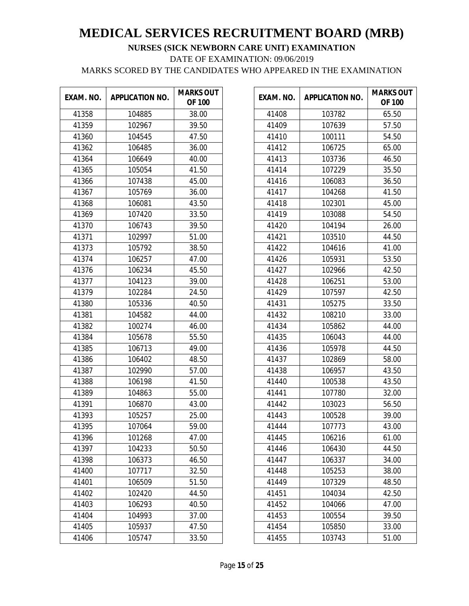| EXAM. NO. | <b>APPLICATION NO.</b> | <b>MARKS OUT</b><br><b>OF 100</b> |
|-----------|------------------------|-----------------------------------|
| 41358     | 104885                 | 38.00                             |
| 41359     | 102967                 | 39.50                             |
| 41360     | 104545                 | 47.50                             |
| 41362     | 106485                 | 36.00                             |
| 41364     | 106649                 | 40.00                             |
| 41365     | 105054                 | 41.50                             |
| 41366     | 107438                 | 45.00                             |
| 41367     | 105769                 | 36.00                             |
| 41368     | 106081                 | 43.50                             |
| 41369     | 107420                 | 33.50                             |
| 41370     | 106743                 | 39.50                             |
| 41371     | 102997                 | 51.00                             |
| 41373     | 105792                 | 38.50                             |
| 41374     | 106257                 | 47.00                             |
| 41376     | 106234                 | 45.50                             |
| 41377     | 104123                 | 39.00                             |
| 41379     | 102284                 | 24.50                             |
| 41380     | 105336                 | 40.50                             |
| 41381     | 104582                 | 44.00                             |
| 41382     | 100274                 | 46.00                             |
| 41384     | 105678                 | 55.50                             |
| 41385     | 106713                 | 49.00                             |
| 41386     | 106402                 | 48.50                             |
| 41387     | 102990                 | 57.00                             |
| 41388     | 106198                 | 41.50                             |
| 41389     | 104863                 | 55.00                             |
| 41391     | 106870                 | 43.00                             |
| 41393     | 105257                 | 25.00                             |
| 41395     | 107064                 | 59.00                             |
| 41396     | 101268                 | 47.00                             |
| 41397     | 104233                 | 50.50                             |
| 41398     | 106373                 | 46.50                             |
| 41400     | 107717                 | 32.50                             |
| 41401     | 106509                 | 51.50                             |
| 41402     | 102420                 | 44.50                             |
| 41403     | 106293                 | 40.50                             |
| 41404     | 104993                 | 37.00                             |
| 41405     | 105937                 | 47.50                             |
| 41406     | 105747                 | 33.50                             |

| EXAM. NO. | <b>APPLICATION NO.</b> | <b>MARKS OUT</b><br><b>OF 100</b> |
|-----------|------------------------|-----------------------------------|
| 41408     | 103782                 | 65.50                             |
| 41409     | 107639                 | 57.50                             |
| 41410     | 100111                 | 54.50                             |
| 41412     | 106725                 | 65.00                             |
| 41413     | 103736                 | 46.50                             |
| 41414     | 107229                 | 35.50                             |
| 41416     | 106083                 | 36.50                             |
| 41417     | 104268                 | 41.50                             |
| 41418     | 102301                 | 45.00                             |
| 41419     | 103088                 | 54.50                             |
| 41420     | 104194                 | 26.00                             |
| 41421     | 103510                 | 44.50                             |
| 41422     | 104616                 | 41.00                             |
| 41426     | 105931                 | 53.50                             |
| 41427     | 102966                 | 42.50                             |
| 41428     | 106251                 | 53.00                             |
| 41429     | 107597                 | 42.50                             |
| 41431     | 105275                 | 33.50                             |
| 41432     | 108210                 | 33.00                             |
| 41434     | 105862                 | 44.00                             |
| 41435     | 106043                 | 44.00                             |
| 41436     | 105978                 | 44.50                             |
| 41437     | 102869                 | 58.00                             |
| 41438     | 106957                 | 43.50                             |
| 41440     | 100538                 | 43.50                             |
| 41441     | 107780                 | 32.00                             |
| 41442     | 103023                 | 56.50                             |
| 41443     | 100528                 | 39.00                             |
| 41444     | 107773                 | 43.00                             |
| 41445     | 106216                 | 61.00                             |
| 41446     | 106430                 | 44.50                             |
| 41447     | 106337                 | 34.00                             |
| 41448     | 105253                 | 38.00                             |
| 41449     | 107329                 | 48.50                             |
| 41451     | 104034                 | 42.50                             |
| 41452     | 104066                 | 47.00                             |
| 41453     | 100554                 | 39.50                             |
| 41454     | 105850                 | 33.00                             |
| 41455     | 103743                 | 51.00                             |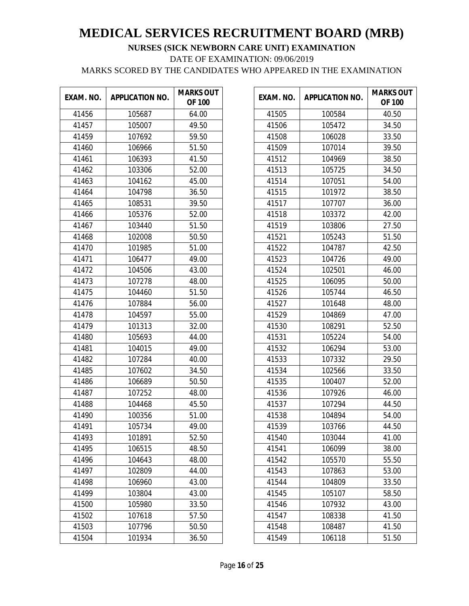| EXAM. NO. | <b>APPLICATION NO.</b> | <b>MARKS OUT</b><br><b>OF 100</b> |
|-----------|------------------------|-----------------------------------|
| 41456     | 105687                 | 64.00                             |
| 41457     | 105007                 | 49.50                             |
| 41459     | 107692                 | 59.50                             |
| 41460     | 106966                 | 51.50                             |
| 41461     | 106393                 | 41.50                             |
| 41462     | 103306                 | 52.00                             |
| 41463     | 104162                 | 45.00                             |
| 41464     | 104798                 | 36.50                             |
| 41465     | 108531                 | 39.50                             |
| 41466     | 105376                 | 52.00                             |
| 41467     | 103440                 | 51.50                             |
| 41468     | 102008                 | 50.50                             |
| 41470     | 101985                 | 51.00                             |
| 41471     | 106477                 | 49.00                             |
| 41472     | 104506                 | 43.00                             |
| 41473     | 107278                 | 48.00                             |
| 41475     | 104460                 | 51.50                             |
| 41476     | 107884                 | 56.00                             |
| 41478     | 104597                 | 55.00                             |
| 41479     | 101313                 | 32.00                             |
| 41480     | 105693                 | 44.00                             |
| 41481     | 104015                 | 49.00                             |
| 41482     | 107284                 | 40.00                             |
| 41485     | 107602                 | 34.50                             |
| 41486     | 106689                 | 50.50                             |
| 41487     | 107252                 | 48.00                             |
| 41488     | 104468                 | 45.50                             |
| 41490     | 100356                 | 51.00                             |
| 41491     | 105734                 | 49.00                             |
| 41493     | 101891                 | 52.50                             |
| 41495     | 106515                 | 48.50                             |
| 41496     | 104643                 | 48.00                             |
| 41497     | 102809                 | 44.00                             |
| 41498     | 106960                 | 43.00                             |
| 41499     | 103804                 | 43.00                             |
| 41500     | 105980                 | 33.50                             |
| 41502     | 107618                 | 57.50                             |
| 41503     | 107796                 | 50.50                             |
| 41504     | 101934                 | 36.50                             |

| EXAM. NO. | <b>APPLICATION NO.</b> | <b>MARKS OUT</b><br><b>OF 100</b> |
|-----------|------------------------|-----------------------------------|
| 41505     | 100584                 | 40.50                             |
| 41506     | 105472                 | 34.50                             |
| 41508     | 106028                 | 33.50                             |
| 41509     | 107014                 | 39.50                             |
| 41512     | 104969                 | 38.50                             |
| 41513     | 105725                 | 34.50                             |
| 41514     | 107051                 | 54.00                             |
| 41515     | 101972                 | 38.50                             |
| 41517     | 107707                 | 36.00                             |
| 41518     | 103372                 | 42.00                             |
| 41519     | 103806                 | 27.50                             |
| 41521     | 105243                 | 51.50                             |
| 41522     | 104787                 | 42.50                             |
| 41523     | 104726                 | 49.00                             |
| 41524     | 102501                 | 46.00                             |
| 41525     | 106095                 | 50.00                             |
| 41526     | 105744                 | 46.50                             |
| 41527     | 101648                 | 48.00                             |
| 41529     | 104869                 | 47.00                             |
| 41530     | 108291                 | 52.50                             |
| 41531     | 105224                 | 54.00                             |
| 41532     | 106294                 | 53.00                             |
| 41533     | 107332                 | 29.50                             |
| 41534     | 102566                 | 33.50                             |
| 41535     | 100407                 | 52.00                             |
| 41536     | 107926                 | 46.00                             |
| 41537     | 107294                 | 44.50                             |
| 41538     | 104894                 | 54.00                             |
| 41539     | 103766                 | 44.50                             |
| 41540     | 103044                 | 41.00                             |
| 41541     | 106099                 | 38.00                             |
| 41542     | 105570                 | 55.50                             |
| 41543     | 107863                 | 53.00                             |
| 41544     | 104809                 | 33.50                             |
| 41545     | 105107                 | 58.50                             |
| 41546     | 107932                 | 43.00                             |
| 41547     | 108338                 | 41.50                             |
| 41548     | 108487                 | 41.50                             |
| 41549     | 106118                 | 51.50                             |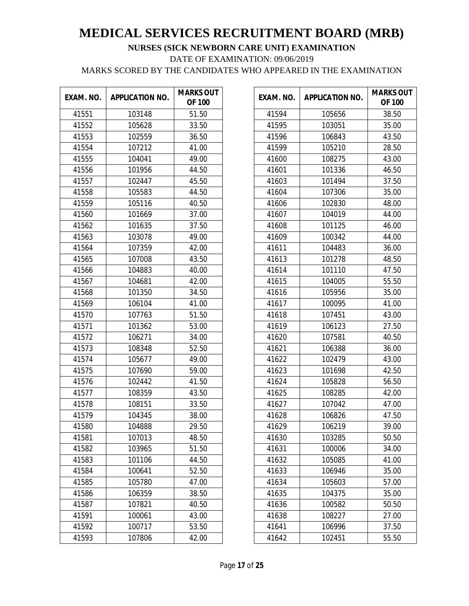| EXAM. NO. | <b>APPLICATION NO.</b> | <b>MARKS OUT</b><br><b>OF 100</b> |
|-----------|------------------------|-----------------------------------|
| 41551     | 103148                 | 51.50                             |
| 41552     | 105628                 | 33.50                             |
| 41553     | 102559                 | 36.50                             |
| 41554     | 107212                 | 41.00                             |
| 41555     | 104041                 | 49.00                             |
| 41556     | 101956                 | 44.50                             |
| 41557     | 102447                 | 45.50                             |
| 41558     | 105583                 | 44.50                             |
| 41559     | 105116                 | 40.50                             |
| 41560     | 101669                 | 37.00                             |
| 41562     | 101635                 | 37.50                             |
| 41563     | 103078                 | 49.00                             |
| 41564     | 107359                 | 42.00                             |
| 41565     | 107008                 | 43.50                             |
| 41566     | 104883                 | 40.00                             |
| 41567     | 104681                 | 42.00                             |
| 41568     | 101350                 | 34.50                             |
| 41569     | 106104                 | 41.00                             |
| 41570     | 107763                 | 51.50                             |
| 41571     | 101362                 | 53.00                             |
| 41572     | 106271                 | 34.00                             |
| 41573     | 108348                 | 52.50                             |
| 41574     | 105677                 | 49.00                             |
| 41575     | 107690                 | 59.00                             |
| 41576     | 102442                 | 41.50                             |
| 41577     | 108359                 | 43.50                             |
| 41578     | 108151                 | 33.50                             |
| 41579     | 104345                 | 38.00                             |
| 41580     | 104888                 | 29.50                             |
| 41581     | 107013                 | 48.50                             |
| 41582     | 103965                 | 51.50                             |
| 41583     | 101106                 | 44.50                             |
| 41584     | 100641                 | 52.50                             |
| 41585     | 105780                 | 47.00                             |
| 41586     | 106359                 | 38.50                             |
| 41587     | 107821                 | 40.50                             |
| 41591     | 100061                 | 43.00                             |
| 41592     | 100717                 | 53.50                             |
| 41593     | 107806                 | 42.00                             |

| EXAM. NO. | <b>APPLICATION NO.</b> | <b>MARKS OUT</b><br><b>OF 100</b> |
|-----------|------------------------|-----------------------------------|
| 41594     | 105656                 | 38.50                             |
| 41595     | 103051                 | 35.00                             |
| 41596     | 106843                 | 43.50                             |
| 41599     | 105210                 | 28.50                             |
| 41600     | 108275                 | 43.00                             |
| 41601     | 101336                 | 46.50                             |
| 41603     | 101494                 | 37.50                             |
| 41604     | 107306                 | 35.00                             |
| 41606     | 102830                 | 48.00                             |
| 41607     | 104019                 | 44.00                             |
| 41608     | 101125                 | 46.00                             |
| 41609     | 100342                 | 44.00                             |
| 41611     | 104483                 | 36.00                             |
| 41613     | 101278                 | 48.50                             |
| 41614     | 101110                 | 47.50                             |
| 41615     | 104005                 | 55.50                             |
| 41616     | 105956                 | 35.00                             |
| 41617     | 100095                 | 41.00                             |
| 41618     | 107451                 | 43.00                             |
| 41619     | 106123                 | 27.50                             |
| 41620     | 107581                 | 40.50                             |
| 41621     | 106388                 | 36.00                             |
| 41622     | 102479                 | 43.00                             |
| 41623     | 101698                 | 42.50                             |
| 41624     | 105828                 | 56.50                             |
| 41625     | 108285                 | 42.00                             |
| 41627     | 107042                 | 47.00                             |
| 41628     | 106826                 | 47.50                             |
| 41629     | 106219                 | 39.00                             |
| 41630     | 103285                 | 50.50                             |
| 41631     | 100006                 | 34.00                             |
| 41632     | 105085                 | 41.00                             |
| 41633     | 106946                 | 35.00                             |
| 41634     | 105603                 | 57.00                             |
| 41635     | 104375                 | 35.00                             |
| 41636     | 100582                 | 50.50                             |
| 41638     | 108227                 | 27.00                             |
| 41641     | 106996                 | 37.50                             |
| 41642     | 102451                 | 55.50                             |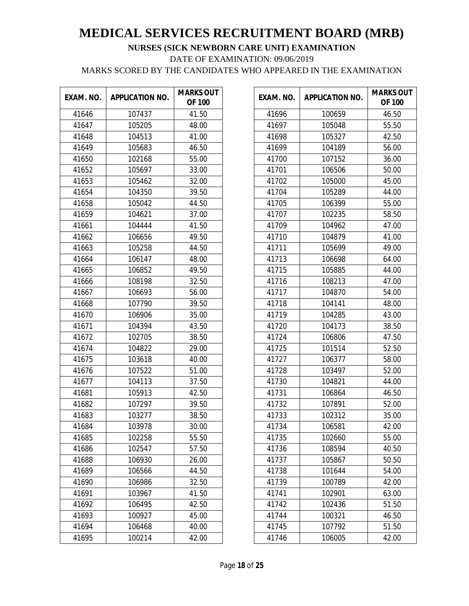| EXAM. NO. | <b>APPLICATION NO.</b> | <b>MARKS OUT</b><br><b>OF 100</b> |
|-----------|------------------------|-----------------------------------|
| 41646     | 107437                 | 41.50                             |
| 41647     | 105205                 | 48.00                             |
| 41648     | 104513                 | 41.00                             |
| 41649     | 105683                 | 46.50                             |
| 41650     | 102168                 | 55.00                             |
| 41652     | 105697                 | 33.00                             |
| 41653     | 105462                 | 32.00                             |
| 41654     | 104350                 | 39.50                             |
| 41658     | 105042                 | 44.50                             |
| 41659     | 104621                 | 37.00                             |
| 41661     | 104444                 | 41.50                             |
| 41662     | 106656                 | 49.50                             |
| 41663     | 105258                 | 44.50                             |
| 41664     | 106147                 | 48.00                             |
| 41665     | 106852                 | 49.50                             |
| 41666     | 108198                 | 32.50                             |
| 41667     | 106693                 | 56.00                             |
| 41668     | 107790                 | 39.50                             |
| 41670     | 106906                 | 35.00                             |
| 41671     | 104394                 | 43.50                             |
| 41672     | 102705                 | 38.50                             |
| 41674     | 104822                 | 29.00                             |
| 41675     | 103618                 | 40.00                             |
| 41676     | 107522                 | 51.00                             |
| 41677     | 104113                 | 37.50                             |
| 41681     | 105913                 | 42.50                             |
| 41682     | 107297                 | 39.50                             |
| 41683     | 103277                 | 38.50                             |
| 41684     | 103978                 | 30.00                             |
| 41685     | 102258                 | 55.50                             |
| 41686     | 102547                 | 57.50                             |
| 41688     | 106930                 | 26.00                             |
| 41689     | 106566                 | 44.50                             |
| 41690     | 106986                 | 32.50                             |
| 41691     | 103967                 | 41.50                             |
| 41692     | 106495                 | 42.50                             |
| 41693     | 100927                 | 45.00                             |
| 41694     | 106468                 | 40.00                             |
| 41695     | 100214                 | 42.00                             |

| EXAM. NO. | <b>APPLICATION NO.</b> | <b>MARKS OUT</b><br><b>OF 100</b> |
|-----------|------------------------|-----------------------------------|
| 41696     | 100659                 | 46.50                             |
| 41697     | 105048                 | 55.50                             |
| 41698     | 105327                 | 42.50                             |
| 41699     | 104189                 | 56.00                             |
| 41700     | 107152                 | 36.00                             |
| 41701     | 106506                 | 50.00                             |
| 41702     | 105000                 | 45.00                             |
| 41704     | 105289                 | 44.00                             |
| 41705     | 106399                 | 55.00                             |
| 41707     | 102235                 | 58.50                             |
| 41709     | 104962                 | 47.00                             |
| 41710     | 104879                 | 41.00                             |
| 41711     | 105699                 | 49.00                             |
| 41713     | 106698                 | 64.00                             |
| 41715     | 105885                 | 44.00                             |
| 41716     | 108213                 | 47.00                             |
| 41717     | 104870                 | 54.00                             |
| 41718     | 104141                 | 48.00                             |
| 41719     | 104285                 | 43.00                             |
| 41720     | 104173                 | 38.50                             |
| 41724     | 106806                 | 47.50                             |
| 41725     | 101514                 | 52.50                             |
| 41727     | 106377                 | 58.00                             |
| 41728     | 103497                 | 52.00                             |
| 41730     | 104821                 | 44.00                             |
| 41731     | 106864                 | 46.50                             |
| 41732     | 107891                 | 52.00                             |
| 41733     | 102312                 | 35.00                             |
| 41734     | 106581                 | 42.00                             |
| 41735     | 102660                 | 55.00                             |
| 41736     | 108594                 | 40.50                             |
| 41737     | 105867                 | 50.50                             |
| 41738     | 101644                 | 54.00                             |
| 41739     | 100789                 | 42.00                             |
| 41741     | 102901                 | 63.00                             |
| 41742     | 102436                 | 51.50                             |
| 41744     | 100321                 | 46.50                             |
| 41745     | 107792                 | 51.50                             |
| 41746     | 106005                 | 42.00                             |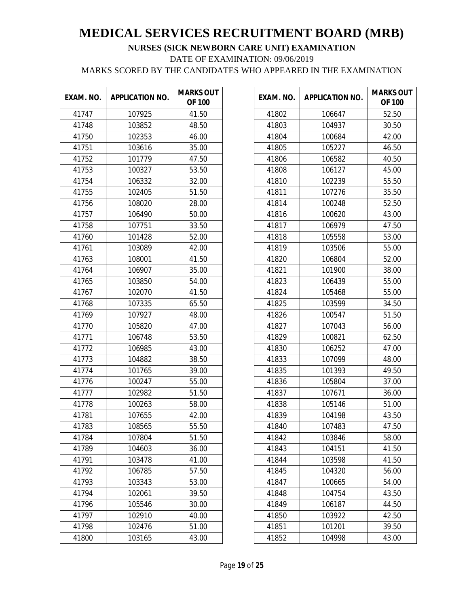| EXAM. NO. | <b>APPLICATION NO.</b> | <b>MARKS OUT</b><br><b>OF 100</b> |
|-----------|------------------------|-----------------------------------|
| 41747     | 107925                 | 41.50                             |
| 41748     | 103852                 | 48.50                             |
| 41750     | 102353                 | 46.00                             |
| 41751     | 103616                 | 35.00                             |
| 41752     | 101779                 | 47.50                             |
| 41753     | 100327                 | 53.50                             |
| 41754     | 106332                 | 32.00                             |
| 41755     | 102405                 | 51.50                             |
| 41756     | 108020                 | 28.00                             |
| 41757     | 106490                 | 50.00                             |
| 41758     | 107751                 | 33.50                             |
| 41760     | 101428                 | 52.00                             |
| 41761     | 103089                 | 42.00                             |
| 41763     | 108001                 | 41.50                             |
| 41764     | 106907                 | 35.00                             |
| 41765     | 103850                 | 54.00                             |
| 41767     | 102070                 | 41.50                             |
| 41768     | 107335                 | 65.50                             |
| 41769     | 107927                 | 48.00                             |
| 41770     | 105820                 | 47.00                             |
| 41771     | 106748                 | 53.50                             |
| 41772     | 106985                 | 43.00                             |
| 41773     | 104882                 | 38.50                             |
| 41774     | 101765                 | 39.00                             |
| 41776     | 100247                 | 55.00                             |
| 41777     | 102982                 | 51.50                             |
| 41778     | 100263                 | 58.00                             |
| 41781     | 107655                 | 42.00                             |
| 41783     | 108565                 | 55.50                             |
| 41784     | 107804                 | 51.50                             |
| 41789     | 104603                 | 36.00                             |
| 41791     | 103478                 | 41.00                             |
| 41792     | 106785                 | 57.50                             |
| 41793     | 103343                 | 53.00                             |
| 41794     | 102061                 | 39.50                             |
| 41796     | 105546                 | 30.00                             |
| 41797     | 102910                 | 40.00                             |
| 41798     | 102476                 | 51.00                             |
| 41800     | 103165                 | 43.00                             |

| EXAM. NO. | <b>APPLICATION NO.</b> | <b>MARKS OUT</b><br><b>OF 100</b> |
|-----------|------------------------|-----------------------------------|
| 41802     | 106647                 | 52.50                             |
| 41803     | 104937                 | 30.50                             |
| 41804     | 100684                 | 42.00                             |
| 41805     | 105227                 | 46.50                             |
| 41806     | 106582                 | 40.50                             |
| 41808     | 106127                 | 45.00                             |
| 41810     | 102239                 | 55.50                             |
| 41811     | 107276                 | 35.50                             |
| 41814     | 100248                 | 52.50                             |
| 41816     | 100620                 | 43.00                             |
| 41817     | 106979                 | 47.50                             |
| 41818     | 105558                 | 53.00                             |
| 41819     | 103506                 | 55.00                             |
| 41820     | 106804                 | 52.00                             |
| 41821     | 101900                 | 38.00                             |
| 41823     | 106439                 | 55.00                             |
| 41824     | 105468                 | 55.00                             |
| 41825     | 103599                 | 34.50                             |
| 41826     | 100547                 | 51.50                             |
| 41827     | 107043                 | 56.00                             |
| 41829     | 100821                 | 62.50                             |
| 41830     | 106252                 | 47.00                             |
| 41833     | 107099                 | 48.00                             |
| 41835     | 101393                 | 49.50                             |
| 41836     | 105804                 | 37.00                             |
| 41837     | 107671                 | 36.00                             |
| 41838     | 105146                 | 51.00                             |
| 41839     | 104198                 | 43.50                             |
| 41840     | 107483                 | 47.50                             |
| 41842     | 103846                 | 58.00                             |
| 41843     | 104151                 | 41.50                             |
| 41844     | 103598                 | 41.50                             |
| 41845     | 104320                 | 56.00                             |
| 41847     | 100665                 | 54.00                             |
| 41848     | 104754                 | 43.50                             |
| 41849     | 106187                 | 44.50                             |
| 41850     | 103922                 | 42.50                             |
| 41851     | 101201                 | 39.50                             |
| 41852     | 104998                 | 43.00                             |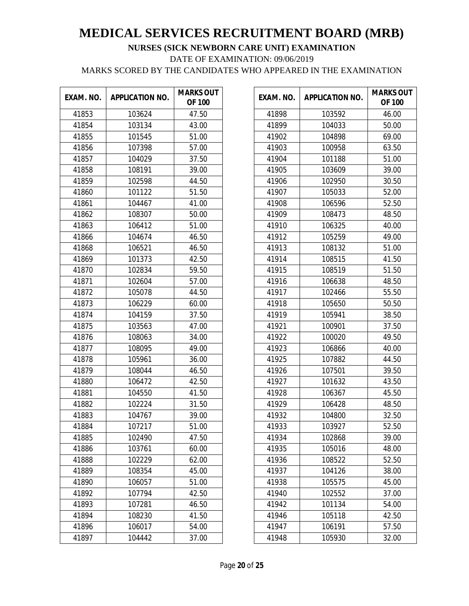| EXAM. NO. | <b>APPLICATION NO.</b> | <b>MARKS OUT</b><br><b>OF 100</b> |
|-----------|------------------------|-----------------------------------|
| 41853     | 103624                 | 47.50                             |
| 41854     | 103134                 | 43.00                             |
| 41855     | 101545                 | 51.00                             |
| 41856     | 107398                 | 57.00                             |
| 41857     | 104029                 | 37.50                             |
| 41858     | 108191                 | 39.00                             |
| 41859     | 102598                 | 44.50                             |
| 41860     | 101122                 | 51.50                             |
| 41861     | 104467                 | 41.00                             |
| 41862     | 108307                 | 50.00                             |
| 41863     | 106412                 | 51.00                             |
| 41866     | 104674                 | 46.50                             |
| 41868     | 106521                 | 46.50                             |
| 41869     | 101373                 | 42.50                             |
| 41870     | 102834                 | 59.50                             |
| 41871     | 102604                 | 57.00                             |
| 41872     | 105078                 | 44.50                             |
| 41873     | 106229                 | 60.00                             |
| 41874     | 104159                 | 37.50                             |
| 41875     | 103563                 | 47.00                             |
| 41876     | 108063                 | 34.00                             |
| 41877     | 108095                 | 49.00                             |
| 41878     | 105961                 | 36.00                             |
| 41879     | 108044                 | 46.50                             |
| 41880     | 106472                 | 42.50                             |
| 41881     | 104550                 | 41.50                             |
| 41882     | 102224                 | 31.50                             |
| 41883     | 104767                 | 39.00                             |
| 41884     | 107217                 | 51.00                             |
| 41885     | 102490                 | 47.50                             |
| 41886     | 103761                 | 60.00                             |
| 41888     | 102229                 | 62.00                             |
| 41889     | 108354                 | 45.00                             |
| 41890     | 106057                 | 51.00                             |
| 41892     | 107794                 | 42.50                             |
| 41893     | 107281                 | 46.50                             |
| 41894     | 108230                 | 41.50                             |
| 41896     | 106017                 | 54.00                             |
| 41897     | 104442                 | 37.00                             |

| EXAM. NO. | <b>APPLICATION NO.</b> | <b>MARKS OUT</b><br><b>OF 100</b> |
|-----------|------------------------|-----------------------------------|
| 41898     | 103592                 | 46.00                             |
| 41899     | 104033                 | 50.00                             |
| 41902     | 104898                 | 69.00                             |
| 41903     | 100958                 | 63.50                             |
| 41904     | 101188                 | 51.00                             |
| 41905     | 103609                 | 39.00                             |
| 41906     | 102950                 | 30.50                             |
| 41907     | 105033                 | 52.00                             |
| 41908     | 106596                 | 52.50                             |
| 41909     | 108473                 | 48.50                             |
| 41910     | 106325                 | 40.00                             |
| 41912     | 105259                 | 49.00                             |
| 41913     | 108132                 | 51.00                             |
| 41914     | 108515                 | 41.50                             |
| 41915     | 108519                 | 51.50                             |
| 41916     | 106638                 | 48.50                             |
| 41917     | 102466                 | 55.50                             |
| 41918     | 105650                 | 50.50                             |
| 41919     | 105941                 | 38.50                             |
| 41921     | 100901                 | 37.50                             |
| 41922     | 100020                 | 49.50                             |
| 41923     | 106866                 | 40.00                             |
| 41925     | 107882                 | 44.50                             |
| 41926     | 107501                 | 39.50                             |
| 41927     | 101632                 | 43.50                             |
| 41928     | 106367                 | 45.50                             |
| 41929     | 106428                 | 48.50                             |
| 41932     | 104800                 | 32.50                             |
| 41933     | 103927                 | 52.50                             |
| 41934     | 102868                 | 39.00                             |
| 41935     | 105016                 | 48.00                             |
| 41936     | 108522                 | 52.50                             |
| 41937     | 104126                 | 38.00                             |
| 41938     | 105575                 | 45.00                             |
| 41940     | 102552                 | 37.00                             |
| 41942     | 101134                 | 54.00                             |
| 41946     | 105118                 | 42.50                             |
| 41947     | 106191                 | 57.50                             |
| 41948     | 105930                 | 32.00                             |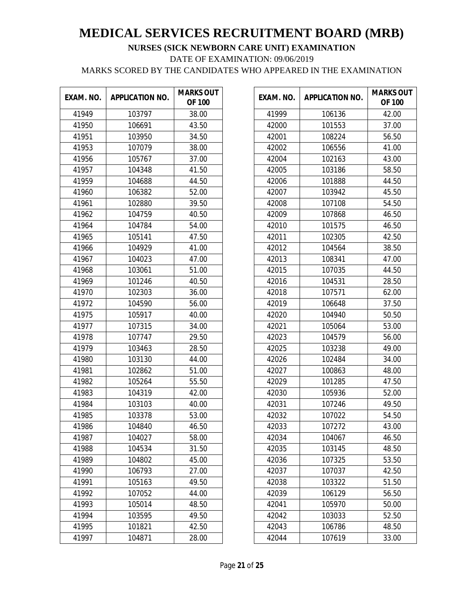| EXAM. NO. | <b>APPLICATION NO.</b> | <b>MARKS OUT</b><br><b>OF 100</b> |
|-----------|------------------------|-----------------------------------|
| 41949     | 103797                 | 38.00                             |
| 41950     | 106691                 | 43.50                             |
| 41951     | 103950                 | 34.50                             |
| 41953     | 107079                 | 38.00                             |
| 41956     | 105767                 | 37.00                             |
| 41957     | 104348                 | 41.50                             |
| 41959     | 104688                 | 44.50                             |
| 41960     | 106382                 | 52.00                             |
| 41961     | 102880                 | 39.50                             |
| 41962     | 104759                 | 40.50                             |
| 41964     | 104784                 | 54.00                             |
| 41965     | 105141                 | 47.50                             |
| 41966     | 104929                 | 41.00                             |
| 41967     | 104023                 | 47.00                             |
| 41968     | 103061                 | 51.00                             |
| 41969     | 101246                 | 40.50                             |
| 41970     | 102303                 | 36.00                             |
| 41972     | 104590                 | 56.00                             |
| 41975     | 105917                 | 40.00                             |
| 41977     | 107315                 | 34.00                             |
| 41978     | 107747                 | 29.50                             |
| 41979     | 103463                 | 28.50                             |
| 41980     | 103130                 | 44.00                             |
| 41981     | 102862                 | 51.00                             |
| 41982     | 105264                 | 55.50                             |
| 41983     | 104319                 | 42.00                             |
| 41984     | 103103                 | 40.00                             |
| 41985     | 103378                 | 53.00                             |
| 41986     | 104840                 | 46.50                             |
| 41987     | 104027                 | 58.00                             |
| 41988     | 104534                 | 31.50                             |
| 41989     | 104802                 | 45.00                             |
| 41990     | 106793                 | 27.00                             |
| 41991     | 105163                 | 49.50                             |
| 41992     | 107052                 | 44.00                             |
| 41993     | 105014                 | 48.50                             |
| 41994     | 103595                 | 49.50                             |
| 41995     | 101821                 | 42.50                             |
| 41997     | 104871                 | 28.00                             |

| EXAM. NO. | <b>APPLICATION NO.</b> | <b>MARKS OUT</b><br><b>OF 100</b> |
|-----------|------------------------|-----------------------------------|
| 41999     | 106136                 | 42.00                             |
| 42000     | 101553                 | 37.00                             |
| 42001     | 108224                 | 56.50                             |
| 42002     | 106556                 | 41.00                             |
| 42004     | 102163                 | 43.00                             |
| 42005     | 103186                 | 58.50                             |
| 42006     | 101888                 | 44.50                             |
| 42007     | 103942                 | 45.50                             |
| 42008     | 107108                 | 54.50                             |
| 42009     | 107868                 | 46.50                             |
| 42010     | 101575                 | 46.50                             |
| 42011     | 102305                 | 42.50                             |
| 42012     | 104564                 | 38.50                             |
| 42013     | 108341                 | 47.00                             |
| 42015     | 107035                 | 44.50                             |
| 42016     | 104531                 | 28.50                             |
| 42018     | 107571                 | 62.00                             |
| 42019     | 106648                 | 37.50                             |
| 42020     | 104940                 | 50.50                             |
| 42021     | 105064                 | 53.00                             |
| 42023     | 104579                 | 56.00                             |
| 42025     | 103238                 | 49.00                             |
| 42026     | 102484                 | 34.00                             |
| 42027     | 100863                 | 48.00                             |
| 42029     | 101285                 | 47.50                             |
| 42030     | 105936                 | 52.00                             |
| 42031     | 107246                 | 49.50                             |
| 42032     | 107022                 | 54.50                             |
| 42033     | 107272                 | 43.00                             |
| 42034     | 104067                 | 46.50                             |
| 42035     | 103145                 | 48.50                             |
| 42036     | 107325                 | 53.50                             |
| 42037     | 107037                 | 42.50                             |
| 42038     | 103322                 | 51.50                             |
| 42039     | 106129                 | 56.50                             |
| 42041     | 105970                 | 50.00                             |
| 42042     | 103033                 | 52.50                             |
| 42043     | 106786                 | 48.50                             |
| 42044     | 107619                 | 33.00                             |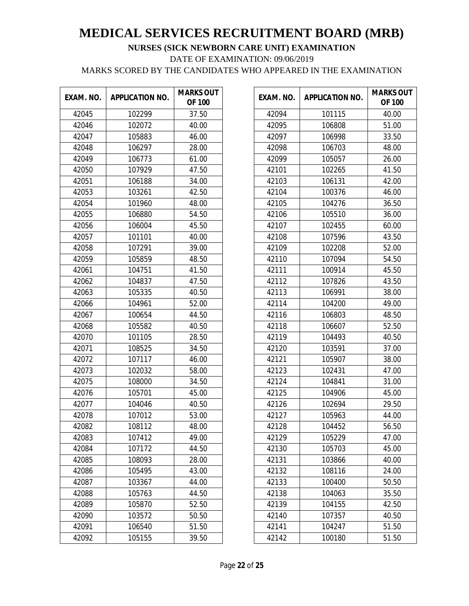| EXAM. NO. | <b>APPLICATION NO.</b> | <b>MARKS OUT</b><br><b>OF 100</b> |
|-----------|------------------------|-----------------------------------|
| 42045     | 102299                 | 37.50                             |
| 42046     | 102072                 | 40.00                             |
| 42047     | 105883                 | 46.00                             |
| 42048     | 106297                 | 28.00                             |
| 42049     | 106773                 | 61.00                             |
| 42050     | 107929                 | 47.50                             |
| 42051     | 106188                 | 34.00                             |
| 42053     | 103261                 | 42.50                             |
| 42054     | 101960                 | 48.00                             |
| 42055     | 106880                 | 54.50                             |
| 42056     | 106004                 | 45.50                             |
| 42057     | 101101                 | 40.00                             |
| 42058     | 107291                 | 39.00                             |
| 42059     | 105859                 | 48.50                             |
| 42061     | 104751                 | 41.50                             |
| 42062     | 104837                 | 47.50                             |
| 42063     | 105335                 | 40.50                             |
| 42066     | 104961                 | 52.00                             |
| 42067     | 100654                 | 44.50                             |
| 42068     | 105582                 | 40.50                             |
| 42070     | 101105                 | 28.50                             |
| 42071     | 108525                 | 34.50                             |
| 42072     | 107117                 | 46.00                             |
| 42073     | 102032                 | 58.00                             |
| 42075     | 108000                 | 34.50                             |
| 42076     | 105701                 | 45.00                             |
| 42077     | 104046                 | 40.50                             |
| 42078     | 107012                 | 53.00                             |
| 42082     | 108112                 | 48.00                             |
| 42083     | 107412                 | 49.00                             |
| 42084     | 107172                 | 44.50                             |
| 42085     | 108093                 | 28.00                             |
| 42086     | 105495                 | 43.00                             |
| 42087     | 103367                 | 44.00                             |
| 42088     | 105763                 | 44.50                             |
| 42089     | 105870                 | 52.50                             |
| 42090     | 103572                 | 50.50                             |
| 42091     | 106540                 | 51.50                             |
| 42092     | 105155                 | 39.50                             |

| EXAM. NO. | <b>APPLICATION NO.</b> | <b>MARKS OUT</b><br><b>OF 100</b> |
|-----------|------------------------|-----------------------------------|
| 42094     | 101115                 | 40.00                             |
| 42095     | 106808                 | 51.00                             |
| 42097     | 106998                 | 33.50                             |
| 42098     | 106703                 | 48.00                             |
| 42099     | 105057                 | 26.00                             |
| 42101     | 102265                 | 41.50                             |
| 42103     | 106131                 | 42.00                             |
| 42104     | 100376                 | 46.00                             |
| 42105     | 104276                 | 36.50                             |
| 42106     | 105510                 | 36.00                             |
| 42107     | 102455                 | 60.00                             |
| 42108     | 107596                 | 43.50                             |
| 42109     | 102208                 | 52.00                             |
| 42110     | 107094                 | 54.50                             |
| 42111     | 100914                 | 45.50                             |
| 42112     | 107826                 | 43.50                             |
| 42113     | 106991                 | 38.00                             |
| 42114     | 104200                 | 49.00                             |
| 42116     | 106803                 | 48.50                             |
| 42118     | 106607                 | 52.50                             |
| 42119     | 104493                 | 40.50                             |
| 42120     | 103591                 | 37.00                             |
| 42121     | 105907                 | 38.00                             |
| 42123     | 102431                 | 47.00                             |
| 42124     | 104841                 | 31.00                             |
| 42125     | 104906                 | 45.00                             |
| 42126     | 102694                 | 29.50                             |
| 42127     | 105963                 | 44.00                             |
| 42128     | 104452                 | 56.50                             |
| 42129     | 105229                 | 47.00                             |
| 42130     | 105703                 | 45.00                             |
| 42131     | 103866                 | 40.00                             |
| 42132     | 108116                 | 24.00                             |
| 42133     | 100400                 | 50.50                             |
| 42138     | 104063                 | 35.50                             |
| 42139     | 104155                 | 42.50                             |
| 42140     | 107357                 | 40.50                             |
| 42141     | 104247                 | 51.50                             |
| 42142     | 100180                 | 51.50                             |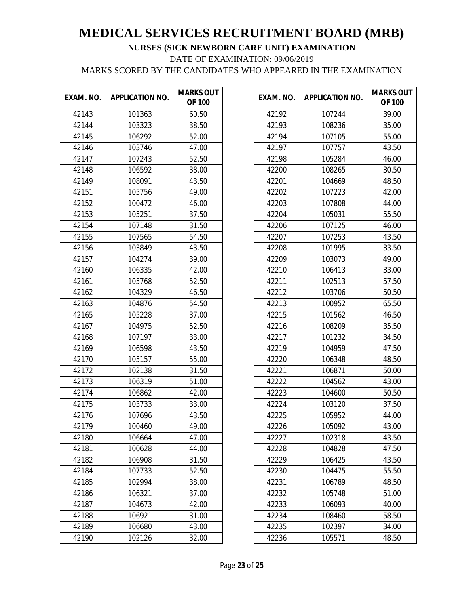| EXAM. NO. | <b>APPLICATION NO.</b> | <b>MARKS OUT</b><br><b>OF 100</b> |
|-----------|------------------------|-----------------------------------|
| 42143     | 101363                 | 60.50                             |
| 42144     | 103323                 | 38.50                             |
| 42145     | 106292                 | 52.00                             |
| 42146     | 103746                 | 47.00                             |
| 42147     | 107243                 | 52.50                             |
| 42148     | 106592                 | 38.00                             |
| 42149     | 108091                 | 43.50                             |
| 42151     | 105756                 | 49.00                             |
| 42152     | 100472                 | 46.00                             |
| 42153     | 105251                 | 37.50                             |
| 42154     | 107148                 | 31.50                             |
| 42155     | 107565                 | 54.50                             |
| 42156     | 103849                 | 43.50                             |
| 42157     | 104274                 | 39.00                             |
| 42160     | 106335                 | 42.00                             |
| 42161     | 105768                 | 52.50                             |
| 42162     | 104329                 | 46.50                             |
| 42163     | 104876                 | 54.50                             |
| 42165     | 105228                 | 37.00                             |
| 42167     | 104975                 | 52.50                             |
| 42168     | 107197                 | 33.00                             |
| 42169     | 106598                 | 43.50                             |
| 42170     | 105157                 | 55.00                             |
| 42172     | 102138                 | 31.50                             |
| 42173     | 106319                 | 51.00                             |
| 42174     | 106862                 | 42.00                             |
| 42175     | 103733                 | 33.00                             |
| 42176     | 107696                 | 43.50                             |
| 42179     | 100460                 | 49.00                             |
| 42180     | 106664                 | 47.00                             |
| 42181     | 100628                 | 44.00                             |
| 42182     | 106908                 | 31.50                             |
| 42184     | 107733                 | 52.50                             |
| 42185     | 102994                 | 38.00                             |
| 42186     | 106321                 | 37.00                             |
| 42187     | 104673                 | 42.00                             |
| 42188     | 106921                 | 31.00                             |
| 42189     | 106680                 | 43.00                             |
| 42190     | 102126                 | 32.00                             |

| EXAM. NO. | <b>APPLICATION NO.</b> | <b>MARKS OUT</b><br><b>OF 100</b> |
|-----------|------------------------|-----------------------------------|
| 42192     | 107244                 | 39.00                             |
| 42193     | 108236                 | 35.00                             |
| 42194     | 107105                 | 55.00                             |
| 42197     | 107757                 | 43.50                             |
| 42198     | 105284                 | 46.00                             |
| 42200     | 108265                 | 30.50                             |
| 42201     | 104669                 | 48.50                             |
| 42202     | 107223                 | 42.00                             |
| 42203     | 107808                 | 44.00                             |
| 42204     | 105031                 | 55.50                             |
| 42206     | 107125                 | 46.00                             |
| 42207     | 107253                 | 43.50                             |
| 42208     | 101995                 | 33.50                             |
| 42209     | 103073                 | 49.00                             |
| 42210     | 106413                 | 33.00                             |
| 42211     | 102513                 | 57.50                             |
| 42212     | 103706                 | 50.50                             |
| 42213     | 100952                 | 65.50                             |
| 42215     | 101562                 | 46.50                             |
| 42216     | 108209                 | 35.50                             |
| 42217     | 101232                 | 34.50                             |
| 42219     | 104959                 | 47.50                             |
| 42220     | 106348                 | 48.50                             |
| 42221     | 106871                 | 50.00                             |
| 42222     | 104562                 | 43.00                             |
| 42223     | 104600                 | 50.50                             |
| 42224     | 103120                 | 37.50                             |
| 42225     | 105952                 | 44.00                             |
| 42226     | 105092                 | 43.00                             |
| 42227     | 102318                 | 43.50                             |
| 42228     | 104828                 | 47.50                             |
| 42229     | 106425                 | 43.50                             |
| 42230     | 104475                 | 55.50                             |
| 42231     | 106789                 | 48.50                             |
| 42232     | 105748                 | 51.00                             |
| 42233     | 106093                 | 40.00                             |
| 42234     | 108460                 | 58.50                             |
| 42235     | 102397                 | 34.00                             |
| 42236     | 105571                 | 48.50                             |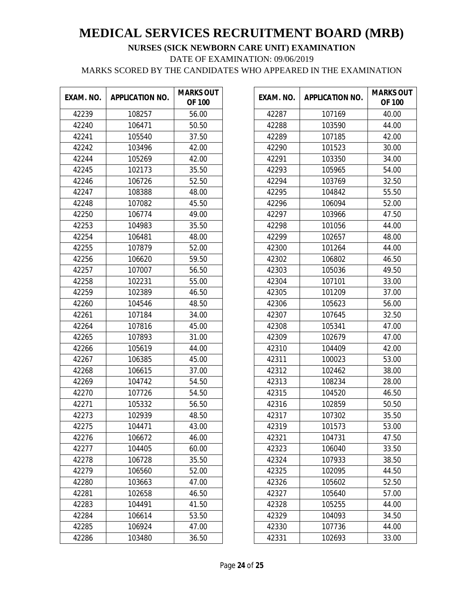| EXAM. NO. | <b>APPLICATION NO.</b> | <b>MARKS OUT</b><br><b>OF 100</b> |
|-----------|------------------------|-----------------------------------|
| 42239     | 108257                 | 56.00                             |
| 42240     | 106471                 | 50.50                             |
| 42241     | 105540                 | 37.50                             |
| 42242     | 103496                 | 42.00                             |
| 42244     | 105269                 | 42.00                             |
| 42245     | 102173                 | 35.50                             |
| 42246     | 106726                 | 52.50                             |
| 42247     | 108388                 | 48.00                             |
| 42248     | 107082                 | 45.50                             |
| 42250     | 106774                 | 49.00                             |
| 42253     | 104983                 | 35.50                             |
| 42254     | 106481                 | 48.00                             |
| 42255     | 107879                 | 52.00                             |
| 42256     | 106620                 | 59.50                             |
| 42257     | 107007                 | 56.50                             |
| 42258     | 102231                 | 55.00                             |
| 42259     | 102389                 | 46.50                             |
| 42260     | 104546                 | 48.50                             |
| 42261     | 107184                 | 34.00                             |
| 42264     | 107816                 | 45.00                             |
| 42265     | 107893                 | 31.00                             |
| 42266     | 105619                 | 44.00                             |
| 42267     | 106385                 | 45.00                             |
| 42268     | 106615                 | 37.00                             |
| 42269     | 104742                 | 54.50                             |
| 42270     | 107726                 | 54.50                             |
| 42271     | 105332                 | 56.50                             |
| 42273     | 102939                 | 48.50                             |
| 42275     | 104471                 | 43.00                             |
| 42276     | 106672                 | 46.00                             |
| 42277     | 104405                 | 60.00                             |
| 42278     | 106728                 | 35.50                             |
| 42279     | 106560                 | 52.00                             |
| 42280     | 103663                 | 47.00                             |
| 42281     | 102658                 | 46.50                             |
| 42283     | 104491                 | 41.50                             |
| 42284     | 106614                 | 53.50                             |
| 42285     | 106924                 | 47.00                             |
| 42286     | 103480                 | 36.50                             |

| EXAM. NO. | <b>APPLICATION NO.</b> | <b>MARKS OUT</b><br><b>OF 100</b> |
|-----------|------------------------|-----------------------------------|
| 42287     | 107169                 | 40.00                             |
| 42288     | 103590                 | 44.00                             |
| 42289     | 107185                 | 42.00                             |
| 42290     | 101523                 | 30.00                             |
| 42291     | 103350                 | 34.00                             |
| 42293     | 105965                 | 54.00                             |
| 42294     | 103769                 | 32.50                             |
| 42295     | 104842                 | 55.50                             |
| 42296     | 106094                 | 52.00                             |
| 42297     | 103966                 | 47.50                             |
| 42298     | 101056                 | 44.00                             |
| 42299     | 102657                 | 48.00                             |
| 42300     | 101264                 | 44.00                             |
| 42302     | 106802                 | 46.50                             |
| 42303     | 105036                 | 49.50                             |
| 42304     | 107101                 | 33.00                             |
| 42305     | 101209                 | 37.00                             |
| 42306     | 105623                 | 56.00                             |
| 42307     | 107645                 | 32.50                             |
| 42308     | 105341                 | 47.00                             |
| 42309     | 102679                 | 47.00                             |
| 42310     | 104409                 | 42.00                             |
| 42311     | 100023                 | 53.00                             |
| 42312     | 102462                 | 38.00                             |
| 42313     | 108234                 | 28.00                             |
| 42315     | 104520                 | 46.50                             |
| 42316     | 102859                 | 50.50                             |
| 42317     | 107302                 | 35.50                             |
| 42319     | 101573                 | 53.00                             |
| 42321     | 104731                 | 47.50                             |
| 42323     | 106040                 | 33.50                             |
| 42324     | 107933                 | 38.50                             |
| 42325     | 102095                 | 44.50                             |
| 42326     | 105602                 | 52.50                             |
| 42327     | 105640                 | 57.00                             |
| 42328     | 105255                 | 44.00                             |
| 42329     | 104093                 | 34.50                             |
| 42330     | 107736                 | 44.00                             |
| 42331     | 102693                 | 33.00                             |